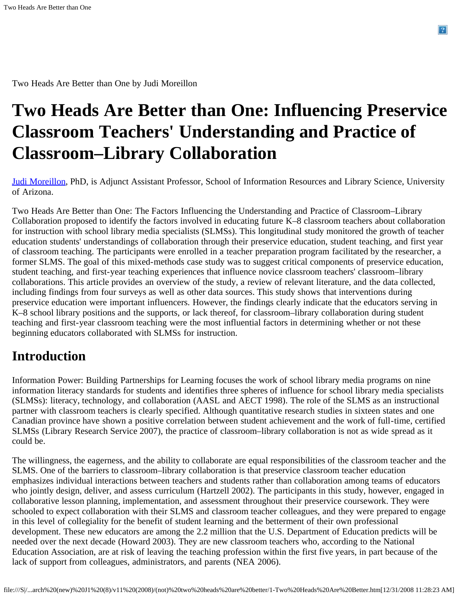Two Heads Are Better than One by Judi Moreillon

# **Two Heads Are Better than One: Influencing Preservice Classroom Teachers' Understanding and Practice of Classroom–Library Collaboration**

[Judi Moreillon](mailto: judithm@email.arizona.edu), PhD, is Adjunct Assistant Professor, School of Information Resources and Library Science, University of Arizona.

Two Heads Are Better than One: The Factors Influencing the Understanding and Practice of Classroom–Library Collaboration proposed to identify the factors involved in educating future K–8 classroom teachers about collaboration for instruction with school library media specialists (SLMSs). This longitudinal study monitored the growth of teacher education students' understandings of collaboration through their preservice education, student teaching, and first year of classroom teaching. The participants were enrolled in a teacher preparation program facilitated by the researcher, a former SLMS. The goal of this mixed-methods case study was to suggest critical components of preservice education, student teaching, and first-year teaching experiences that influence novice classroom teachers' classroom–library collaborations. This article provides an overview of the study, a review of relevant literature, and the data collected, including findings from four surveys as well as other data sources. This study shows that interventions during preservice education were important influencers. However, the findings clearly indicate that the educators serving in K–8 school library positions and the supports, or lack thereof, for classroom–library collaboration during student teaching and first-year classroom teaching were the most influential factors in determining whether or not these beginning educators collaborated with SLMSs for instruction.

### **Introduction**

Information Power: Building Partnerships for Learning focuses the work of school library media programs on nine information literacy standards for students and identifies three spheres of influence for school library media specialists (SLMSs): literacy, technology, and collaboration (AASL and AECT 1998). The role of the SLMS as an instructional partner with classroom teachers is clearly specified. Although quantitative research studies in sixteen states and one Canadian province have shown a positive correlation between student achievement and the work of full-time, certified SLMSs (Library Research Service 2007), the practice of classroom–library collaboration is not as wide spread as it could be.

The willingness, the eagerness, and the ability to collaborate are equal responsibilities of the classroom teacher and the SLMS. One of the barriers to classroom–library collaboration is that preservice classroom teacher education emphasizes individual interactions between teachers and students rather than collaboration among teams of educators who jointly design, deliver, and assess curriculum (Hartzell 2002). The participants in this study, however, engaged in collaborative lesson planning, implementation, and assessment throughout their preservice coursework. They were schooled to expect collaboration with their SLMS and classroom teacher colleagues, and they were prepared to engage in this level of collegiality for the benefit of student learning and the betterment of their own professional development. These new educators are among the 2.2 million that the U.S. Department of Education predicts will be needed over the next decade (Howard 2003). They are new classroom teachers who, according to the National Education Association, are at risk of leaving the teaching profession within the first five years, in part because of the lack of support from colleagues, administrators, and parents (NEA 2006).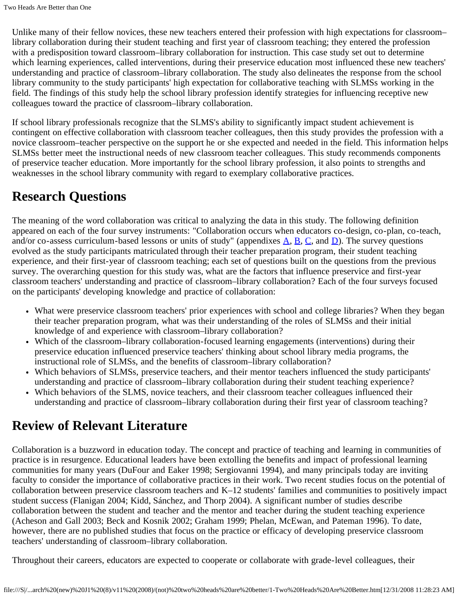Unlike many of their fellow novices, these new teachers entered their profession with high expectations for classroom– library collaboration during their student teaching and first year of classroom teaching; they entered the profession with a predisposition toward classroom–library collaboration for instruction. This case study set out to determine which learning experiences, called interventions, during their preservice education most influenced these new teachers' understanding and practice of classroom–library collaboration. The study also delineates the response from the school library community to the study participants' high expectation for collaborative teaching with SLMSs working in the field. The findings of this study help the school library profession identify strategies for influencing receptive new colleagues toward the practice of classroom–library collaboration.

If school library professionals recognize that the SLMS's ability to significantly impact student achievement is contingent on effective collaboration with classroom teacher colleagues, then this study provides the profession with a novice classroom–teacher perspective on the support he or she expected and needed in the field. This information helps SLMSs better meet the instructional needs of new classroom teacher colleagues. This study recommends components of preservice teacher education. More importantly for the school library profession, it also points to strengths and weaknesses in the school library community with regard to exemplary collaborative practices.

# **Research Questions**

The meaning of the word collaboration was critical to analyzing the data in this study. The following definition appeared on each of the four survey instruments: "Collaboration occurs when educators co-design, co-plan, co-teach, and/or co-assess curriculum-based lessons or units of study" (appendixes  $\overline{A}$  $\overline{A}$  $\overline{A}$ ,  $\overline{B}$  $\overline{B}$  $\overline{B}$ ,  $\overline{C}$ , and  $\overline{D}$ ). The survey questions evolved as the study participants matriculated through their teacher preparation program, their student teaching experience, and their first-year of classroom teaching; each set of questions built on the questions from the previous survey. The overarching question for this study was, what are the factors that influence preservice and first-year classroom teachers' understanding and practice of classroom–library collaboration? Each of the four surveys focused on the participants' developing knowledge and practice of collaboration:

- What were preservice classroom teachers' prior experiences with school and college libraries? When they began their teacher preparation program, what was their understanding of the roles of SLMSs and their initial knowledge of and experience with classroom–library collaboration?
- Which of the classroom–library collaboration-focused learning engagements (interventions) during their preservice education influenced preservice teachers' thinking about school library media programs, the instructional role of SLMSs, and the benefits of classroom–library collaboration?
- Which behaviors of SLMSs, preservice teachers, and their mentor teachers influenced the study participants' understanding and practice of classroom–library collaboration during their student teaching experience?
- Which behaviors of the SLMS, novice teachers, and their classroom teacher colleagues influenced their understanding and practice of classroom–library collaboration during their first year of classroom teaching?

# **Review of Relevant Literature**

Collaboration is a buzzword in education today. The concept and practice of teaching and learning in communities of practice is in resurgence. Educational leaders have been extolling the benefits and impact of professional learning communities for many years (DuFour and Eaker 1998; Sergiovanni 1994), and many principals today are inviting faculty to consider the importance of collaborative practices in their work. Two recent studies focus on the potential of collaboration between preservice classroom teachers and K–12 students' families and communities to positively impact student success (Flanigan 2004; Kidd, Sánchez, and Thorp 2004). A significant number of studies describe collaboration between the student and teacher and the mentor and teacher during the student teaching experience (Acheson and Gall 2003; Beck and Kosnik 2002; Graham 1999; Phelan, McEwan, and Pateman 1996). To date, however, there are no published studies that focus on the practice or efficacy of developing preservice classroom teachers' understanding of classroom–library collaboration.

Throughout their careers, educators are expected to cooperate or collaborate with grade-level colleagues, their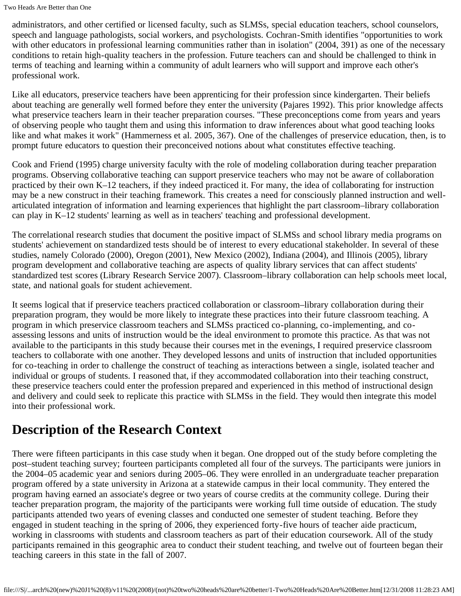administrators, and other certified or licensed faculty, such as SLMSs, special education teachers, school counselors, speech and language pathologists, social workers, and psychologists. Cochran-Smith identifies "opportunities to work with other educators in professional learning communities rather than in isolation" (2004, 391) as one of the necessary conditions to retain high-quality teachers in the profession. Future teachers can and should be challenged to think in terms of teaching and learning within a community of adult learners who will support and improve each other's professional work.

Like all educators, preservice teachers have been apprenticing for their profession since kindergarten. Their beliefs about teaching are generally well formed before they enter the university (Pajares 1992). This prior knowledge affects what preservice teachers learn in their teacher preparation courses. "These preconceptions come from years and years of observing people who taught them and using this information to draw inferences about what good teaching looks like and what makes it work" (Hammerness et al. 2005, 367). One of the challenges of preservice education, then, is to prompt future educators to question their preconceived notions about what constitutes effective teaching.

Cook and Friend (1995) charge university faculty with the role of modeling collaboration during teacher preparation programs. Observing collaborative teaching can support preservice teachers who may not be aware of collaboration practiced by their own K–12 teachers, if they indeed practiced it. For many, the idea of collaborating for instruction may be a new construct in their teaching framework. This creates a need for consciously planned instruction and wellarticulated integration of information and learning experiences that highlight the part classroom–library collaboration can play in K–12 students' learning as well as in teachers' teaching and professional development.

The correlational research studies that document the positive impact of SLMSs and school library media programs on students' achievement on standardized tests should be of interest to every educational stakeholder. In several of these studies, namely Colorado (2000), Oregon (2001), New Mexico (2002), Indiana (2004), and Illinois (2005), library program development and collaborative teaching are aspects of quality library services that can affect students' standardized test scores (Library Research Service 2007). Classroom–library collaboration can help schools meet local, state, and national goals for student achievement.

It seems logical that if preservice teachers practiced collaboration or classroom–library collaboration during their preparation program, they would be more likely to integrate these practices into their future classroom teaching. A program in which preservice classroom teachers and SLMSs practiced co-planning, co-implementing, and coassessing lessons and units of instruction would be the ideal environment to promote this practice. As that was not available to the participants in this study because their courses met in the evenings, I required preservice classroom teachers to collaborate with one another. They developed lessons and units of instruction that included opportunities for co-teaching in order to challenge the construct of teaching as interactions between a single, isolated teacher and individual or groups of students. I reasoned that, if they accommodated collaboration into their teaching construct, these preservice teachers could enter the profession prepared and experienced in this method of instructional design and delivery and could seek to replicate this practice with SLMSs in the field. They would then integrate this model into their professional work.

# **Description of the Research Context**

There were fifteen participants in this case study when it began. One dropped out of the study before completing the post–student teaching survey; fourteen participants completed all four of the surveys. The participants were juniors in the 2004–05 academic year and seniors during 2005–06. They were enrolled in an undergraduate teacher preparation program offered by a state university in Arizona at a statewide campus in their local community. They entered the program having earned an associate's degree or two years of course credits at the community college. During their teacher preparation program, the majority of the participants were working full time outside of education. The study participants attended two years of evening classes and conducted one semester of student teaching. Before they engaged in student teaching in the spring of 2006, they experienced forty-five hours of teacher aide practicum, working in classrooms with students and classroom teachers as part of their education coursework. All of the study participants remained in this geographic area to conduct their student teaching, and twelve out of fourteen began their teaching careers in this state in the fall of 2007.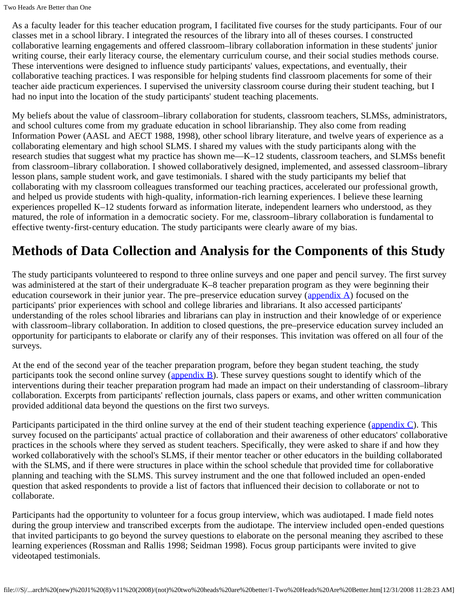As a faculty leader for this teacher education program, I facilitated five courses for the study participants. Four of our classes met in a school library. I integrated the resources of the library into all of theses courses. I constructed collaborative learning engagements and offered classroom–library collaboration information in these students' junior writing course, their early literacy course, the elementary curriculum course, and their social studies methods course. These interventions were designed to influence study participants' values, expectations, and eventually, their collaborative teaching practices. I was responsible for helping students find classroom placements for some of their teacher aide practicum experiences. I supervised the university classroom course during their student teaching, but I had no input into the location of the study participants' student teaching placements.

My beliefs about the value of classroom–library collaboration for students, classroom teachers, SLMSs, administrators, and school cultures come from my graduate education in school librarianship. They also come from reading Information Power (AASL and AECT 1988, 1998), other school library literature, and twelve years of experience as a collaborating elementary and high school SLMS. I shared my values with the study participants along with the research studies that suggest what my practice has shown me—K–12 students, classroom teachers, and SLMSs benefit from classroom–library collaboration. I showed collaboratively designed, implemented, and assessed classroom–library lesson plans, sample student work, and gave testimonials. I shared with the study participants my belief that collaborating with my classroom colleagues transformed our teaching practices, accelerated our professional growth, and helped us provide students with high-quality, information-rich learning experiences. I believe these learning experiences propelled K–12 students forward as information literate, independent learners who understood, as they matured, the role of information in a democratic society. For me, classroom–library collaboration is fundamental to effective twenty-first-century education. The study participants were clearly aware of my bias.

# **Methods of Data Collection and Analysis for the Components of this Study**

The study participants volunteered to respond to three online surveys and one paper and pencil survey. The first survey was administered at the start of their undergraduate K–8 teacher preparation program as they were beginning their education coursework in their junior year. The pre–preservice education survey ([appendix A](http://storytrail.com/TwoHeads/presurvey.pdf)) focused on the participants' prior experiences with school and college libraries and librarians. It also accessed participants' understanding of the roles school libraries and librarians can play in instruction and their knowledge of or experience with classroom–library collaboration. In addition to closed questions, the pre–preservice education survey included an opportunity for participants to elaborate or clarify any of their responses. This invitation was offered on all four of the surveys.

At the end of the second year of the teacher preparation program, before they began student teaching, the study participants took the second online survey (appendix  $\overline{B}$ ). These survey questions sought to identify which of the interventions during their teacher preparation program had made an impact on their understanding of classroom–library collaboration. Excerpts from participants' reflection journals, class papers or exams, and other written communication provided additional data beyond the questions on the first two surveys.

Participants participated in the third online survey at the end of their student teaching experience ([appendix C\)](http://storytrail.com/TwoHeads/postsurveystudentteaching.pdf). This survey focused on the participants' actual practice of collaboration and their awareness of other educators' collaborative practices in the schools where they served as student teachers. Specifically, they were asked to share if and how they worked collaboratively with the school's SLMS, if their mentor teacher or other educators in the building collaborated with the SLMS, and if there were structures in place within the school schedule that provided time for collaborative planning and teaching with the SLMS. This survey instrument and the one that followed included an open-ended question that asked respondents to provide a list of factors that influenced their decision to collaborate or not to collaborate.

Participants had the opportunity to volunteer for a focus group interview, which was audiotaped. I made field notes during the group interview and transcribed excerpts from the audiotape. The interview included open-ended questions that invited participants to go beyond the survey questions to elaborate on the personal meaning they ascribed to these learning experiences (Rossman and Rallis 1998; Seidman 1998). Focus group participants were invited to give videotaped testimonials.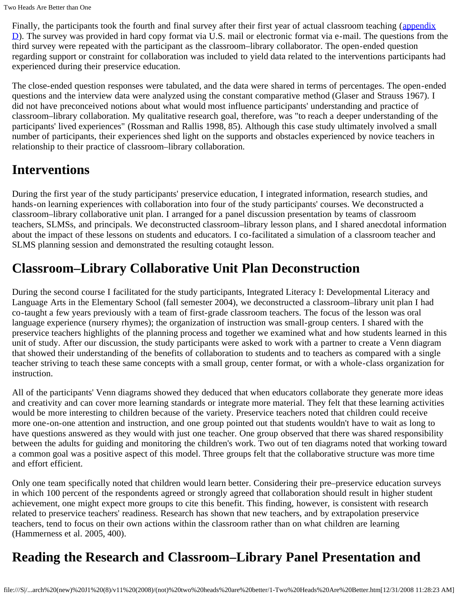Two Heads Are Better than One

Finally, the participants took the fourth and final survey after their first year of actual classroom teaching ([appendix](http://storytrail.com/TwoHeads/postsurveyfirstyearteaching.pdf)  $D$ ). The survey was provided in hard copy format via U.S. mail or electronic format via e-mail. The questions from the third survey were repeated with the participant as the classroom–library collaborator. The open-ended question regarding support or constraint for collaboration was included to yield data related to the interventions participants had experienced during their preservice education.

The close-ended question responses were tabulated, and the data were shared in terms of percentages. The open-ended questions and the interview data were analyzed using the constant comparative method (Glaser and Strauss 1967). I did not have preconceived notions about what would most influence participants' understanding and practice of classroom–library collaboration. My qualitative research goal, therefore, was "to reach a deeper understanding of the participants' lived experiences" (Rossman and Rallis 1998, 85). Although this case study ultimately involved a small number of participants, their experiences shed light on the supports and obstacles experienced by novice teachers in relationship to their practice of classroom–library collaboration.

# **Interventions**

During the first year of the study participants' preservice education, I integrated information, research studies, and hands-on learning experiences with collaboration into four of the study participants' courses. We deconstructed a classroom–library collaborative unit plan. I arranged for a panel discussion presentation by teams of classroom teachers, SLMSs, and principals. We deconstructed classroom–library lesson plans, and I shared anecdotal information about the impact of these lessons on students and educators. I co-facilitated a simulation of a classroom teacher and SLMS planning session and demonstrated the resulting cotaught lesson.

# **Classroom–Library Collaborative Unit Plan Deconstruction**

During the second course I facilitated for the study participants, Integrated Literacy I: Developmental Literacy and Language Arts in the Elementary School (fall semester 2004), we deconstructed a classroom–library unit plan I had co-taught a few years previously with a team of first-grade classroom teachers. The focus of the lesson was oral language experience (nursery rhymes); the organization of instruction was small-group centers. I shared with the preservice teachers highlights of the planning process and together we examined what and how students learned in this unit of study. After our discussion, the study participants were asked to work with a partner to create a Venn diagram that showed their understanding of the benefits of collaboration to students and to teachers as compared with a single teacher striving to teach these same concepts with a small group, center format, or with a whole-class organization for instruction.

All of the participants' Venn diagrams showed they deduced that when educators collaborate they generate more ideas and creativity and can cover more learning standards or integrate more material. They felt that these learning activities would be more interesting to children because of the variety. Preservice teachers noted that children could receive more one-on-one attention and instruction, and one group pointed out that students wouldn't have to wait as long to have questions answered as they would with just one teacher. One group observed that there was shared responsibility between the adults for guiding and monitoring the children's work. Two out of ten diagrams noted that working toward a common goal was a positive aspect of this model. Three groups felt that the collaborative structure was more time and effort efficient.

Only one team specifically noted that children would learn better. Considering their pre–preservice education surveys in which 100 percent of the respondents agreed or strongly agreed that collaboration should result in higher student achievement, one might expect more groups to cite this benefit. This finding, however, is consistent with research related to preservice teachers' readiness. Research has shown that new teachers, and by extrapolation preservice teachers, tend to focus on their own actions within the classroom rather than on what children are learning (Hammerness et al. 2005, 400).

# **Reading the Research and Classroom–Library Panel Presentation and**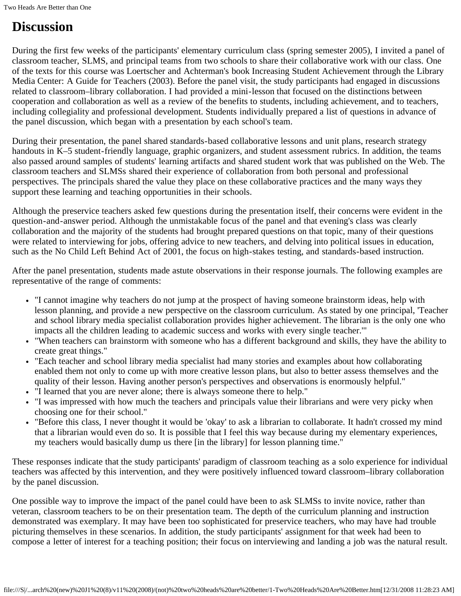# **Discussion**

During the first few weeks of the participants' elementary curriculum class (spring semester 2005), I invited a panel of classroom teacher, SLMS, and principal teams from two schools to share their collaborative work with our class. One of the texts for this course was Loertscher and Achterman's book Increasing Student Achievement through the Library Media Center: A Guide for Teachers (2003). Before the panel visit, the study participants had engaged in discussions related to classroom–library collaboration. I had provided a mini-lesson that focused on the distinctions between cooperation and collaboration as well as a review of the benefits to students, including achievement, and to teachers, including collegiality and professional development. Students individually prepared a list of questions in advance of the panel discussion, which began with a presentation by each school's team.

During their presentation, the panel shared standards-based collaborative lessons and unit plans, research strategy handouts in K–5 student-friendly language, graphic organizers, and student assessment rubrics. In addition, the teams also passed around samples of students' learning artifacts and shared student work that was published on the Web. The classroom teachers and SLMSs shared their experience of collaboration from both personal and professional perspectives. The principals shared the value they place on these collaborative practices and the many ways they support these learning and teaching opportunities in their schools.

Although the preservice teachers asked few questions during the presentation itself, their concerns were evident in the question-and-answer period. Although the unmistakable focus of the panel and that evening's class was clearly collaboration and the majority of the students had brought prepared questions on that topic, many of their questions were related to interviewing for jobs, offering advice to new teachers, and delving into political issues in education, such as the No Child Left Behind Act of 2001, the focus on high-stakes testing, and standards-based instruction.

After the panel presentation, students made astute observations in their response journals. The following examples are representative of the range of comments:

- "I cannot imagine why teachers do not jump at the prospect of having someone brainstorm ideas, help with lesson planning, and provide a new perspective on the classroom curriculum. As stated by one principal, 'Teacher and school library media specialist collaboration provides higher achievement. The librarian is the only one who impacts all the children leading to academic success and works with every single teacher.'"
- "When teachers can brainstorm with someone who has a different background and skills, they have the ability to create great things."
- "Each teacher and school library media specialist had many stories and examples about how collaborating enabled them not only to come up with more creative lesson plans, but also to better assess themselves and the quality of their lesson. Having another person's perspectives and observations is enormously helpful."
- "I learned that you are never alone; there is always someone there to help."
- "I was impressed with how much the teachers and principals value their librarians and were very picky when choosing one for their school."
- "Before this class, I never thought it would be 'okay' to ask a librarian to collaborate. It hadn't crossed my mind that a librarian would even do so. It is possible that I feel this way because during my elementary experiences, my teachers would basically dump us there [in the library] for lesson planning time."

These responses indicate that the study participants' paradigm of classroom teaching as a solo experience for individual teachers was affected by this intervention, and they were positively influenced toward classroom–library collaboration by the panel discussion.

One possible way to improve the impact of the panel could have been to ask SLMSs to invite novice, rather than veteran, classroom teachers to be on their presentation team. The depth of the curriculum planning and instruction demonstrated was exemplary. It may have been too sophisticated for preservice teachers, who may have had trouble picturing themselves in these scenarios. In addition, the study participants' assignment for that week had been to compose a letter of interest for a teaching position; their focus on interviewing and landing a job was the natural result.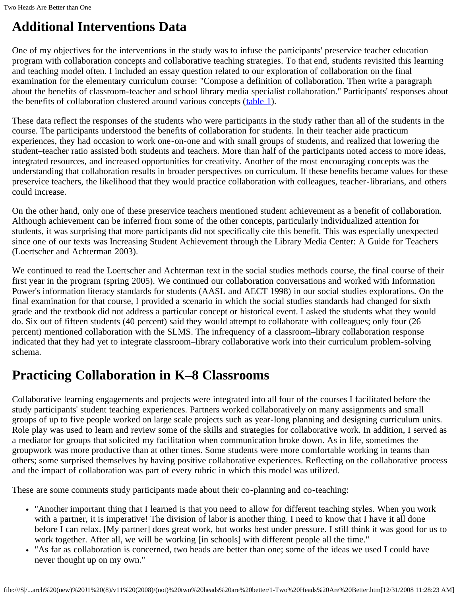# **Additional Interventions Data**

One of my objectives for the interventions in the study was to infuse the participants' preservice teacher education program with collaboration concepts and collaborative teaching strategies. To that end, students revisited this learning and teaching model often. I included an essay question related to our exploration of collaboration on the final examination for the elementary curriculum course: "Compose a definition of collaboration. Then write a paragraph about the benefits of classroom-teacher and school library media specialist collaboration." Participants' responses about the benefits of collaboration clustered around various concepts ([table 1](file:///S|/Content%20-%20Completed%20Agreements/Content-Staging%20Review%20(NJL)%20(J)/Journal/HOLD--PROCESS%20NOW/12.31.08%20(121)/School%20Library%20Media%20Research%20(new)%20J1%20(8)/v11%20(2008)/(not)%20two%20heads%20are%20better/moreillon_tables.cfm#tab1)).

These data reflect the responses of the students who were participants in the study rather than all of the students in the course. The participants understood the benefits of collaboration for students. In their teacher aide practicum experiences, they had occasion to work one-on-one and with small groups of students, and realized that lowering the student–teacher ratio assisted both students and teachers. More than half of the participants noted access to more ideas, integrated resources, and increased opportunities for creativity. Another of the most encouraging concepts was the understanding that collaboration results in broader perspectives on curriculum. If these benefits became values for these preservice teachers, the likelihood that they would practice collaboration with colleagues, teacher-librarians, and others could increase.

On the other hand, only one of these preservice teachers mentioned student achievement as a benefit of collaboration. Although achievement can be inferred from some of the other concepts, particularly individualized attention for students, it was surprising that more participants did not specifically cite this benefit. This was especially unexpected since one of our texts was Increasing Student Achievement through the Library Media Center: A Guide for Teachers (Loertscher and Achterman 2003).

We continued to read the Loertscher and Achterman text in the social studies methods course, the final course of their first year in the program (spring 2005). We continued our collaboration conversations and worked with Information Power's information literacy standards for students (AASL and AECT 1998) in our social studies explorations. On the final examination for that course, I provided a scenario in which the social studies standards had changed for sixth grade and the textbook did not address a particular concept or historical event. I asked the students what they would do. Six out of fifteen students (40 percent) said they would attempt to collaborate with colleagues; only four (26 percent) mentioned collaboration with the SLMS. The infrequency of a classroom–library collaboration response indicated that they had yet to integrate classroom–library collaborative work into their curriculum problem-solving schema.

# **Practicing Collaboration in K–8 Classrooms**

Collaborative learning engagements and projects were integrated into all four of the courses I facilitated before the study participants' student teaching experiences. Partners worked collaboratively on many assignments and small groups of up to five people worked on large scale projects such as year-long planning and designing curriculum units. Role play was used to learn and review some of the skills and strategies for collaborative work. In addition, I served as a mediator for groups that solicited my facilitation when communication broke down. As in life, sometimes the groupwork was more productive than at other times. Some students were more comfortable working in teams than others; some surprised themselves by having positive collaborative experiences. Reflecting on the collaborative process and the impact of collaboration was part of every rubric in which this model was utilized.

These are some comments study participants made about their co-planning and co-teaching:

- "Another important thing that I learned is that you need to allow for different teaching styles. When you work with a partner, it is imperative! The division of labor is another thing. I need to know that I have it all done before I can relax. [My partner] does great work, but works best under pressure. I still think it was good for us to work together. After all, we will be working [in schools] with different people all the time."
- "As far as collaboration is concerned, two heads are better than one; some of the ideas we used I could have never thought up on my own."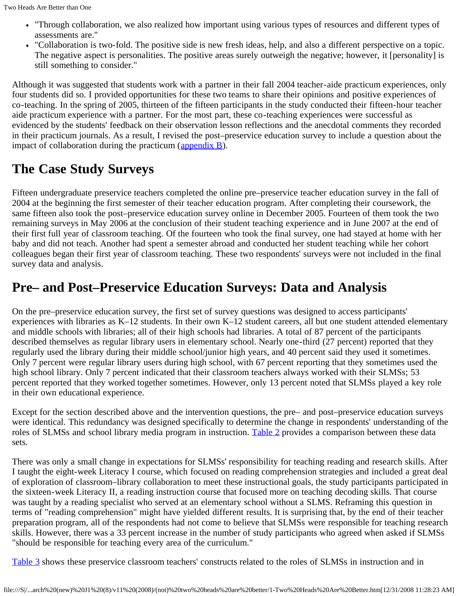- "Through collaboration, we also realized how important using various types of resources and different types of assessments are."
- "Collaboration is two-fold. The positive side is new fresh ideas, help, and also a different perspective on a topic. The negative aspect is personalities. The positive areas surely outweigh the negative; however, it [personality] is still something to consider."

Although it was suggested that students work with a partner in their fall 2004 teacher-aide practicum experiences, only four students did so. I provided opportunities for these two teams to share their opinions and positive experiences of co-teaching. In the spring of 2005, thirteen of the fifteen participants in the study conducted their fifteen-hour teacher aide practicum experience with a partner. For the most part, these co-teaching experiences were successful as evidenced by the students' feedback on their observation lesson reflections and the anecdotal comments they recorded in their practicum journals. As a result, I revised the post–preservice education survey to include a question about the impact of collaboration during the practicum  $\frac{\text{appendix } B}{\text{Lengthix } B}$ .

# **The Case Study Surveys**

Fifteen undergraduate preservice teachers completed the online pre–preservice teacher education survey in the fall of 2004 at the beginning the first semester of their teacher education program. After completing their coursework, the same fifteen also took the post–preservice education survey online in December 2005. Fourteen of them took the two remaining surveys in May 2006 at the conclusion of their student teaching experience and in June 2007 at the end of their first full year of classroom teaching. Of the fourteen who took the final survey, one had stayed at home with her baby and did not teach. Another had spent a semester abroad and conducted her student teaching while her cohort colleagues began their first year of classroom teaching. These two respondents' surveys were not included in the final survey data and analysis.

# **Pre– and Post–Preservice Education Surveys: Data and Analysis**

On the pre–preservice education survey, the first set of survey questions was designed to access participants' experiences with libraries as  $K-12$  students. In their own  $K-12$  student careers, all but one student attended elementary and middle schools with libraries; all of their high schools had libraries. A total of 87 percent of the participants described themselves as regular library users in elementary school. Nearly one-third (27 percent) reported that they regularly used the library during their middle school/junior high years, and 40 percent said they used it sometimes. Only 7 percent were regular library users during high school, with 67 percent reporting that they sometimes used the high school library. Only 7 percent indicated that their classroom teachers always worked with their SLMSs; 53 percent reported that they worked together sometimes. However, only 13 percent noted that SLMSs played a key role in their own educational experience.

Except for the section described above and the intervention questions, the pre– and post–preservice education surveys were identical. This redundancy was designed specifically to determine the change in respondents' understanding of the roles of SLMSs and school library media program in instruction. [Table 2](file:///S|/Content%20-%20Completed%20Agreements/Content-Staging%20Review%20(NJL)%20(J)/Journal/HOLD--PROCESS%20NOW/12.31.08%20(121)/School%20Library%20Media%20Research%20(new)%20J1%20(8)/v11%20(2008)/(not)%20two%20heads%20are%20better/moreillon_tables.cfm#tab2) provides a comparison between these data sets.

There was only a small change in expectations for SLMSs' responsibility for teaching reading and research skills. After I taught the eight-week Literacy I course, which focused on reading comprehension strategies and included a great deal of exploration of classroom–library collaboration to meet these instructional goals, the study participants participated in the sixteen-week Literacy II, a reading instruction course that focused more on teaching decoding skills. That course was taught by a reading specialist who served at an elementary school without a SLMS. Reframing this question in terms of "reading comprehension" might have yielded different results. It is surprising that, by the end of their teacher preparation program, all of the respondents had not come to believe that SLMSs were responsible for teaching research skills. However, there was a 33 percent increase in the number of study participants who agreed when asked if SLMSs "should be responsible for teaching every area of the curriculum."

[Table 3](file:///S|/Content%20-%20Completed%20Agreements/Content-Staging%20Review%20(NJL)%20(J)/Journal/HOLD--PROCESS%20NOW/12.31.08%20(121)/School%20Library%20Media%20Research%20(new)%20J1%20(8)/v11%20(2008)/(not)%20two%20heads%20are%20better/moreillon_tables.cfm#tab3) shows these preservice classroom teachers' constructs related to the roles of SLMSs in instruction and in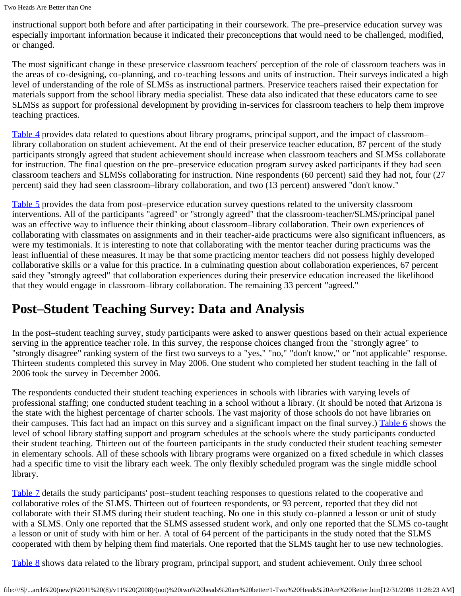instructional support both before and after participating in their coursework. The pre–preservice education survey was especially important information because it indicated their preconceptions that would need to be challenged, modified, or changed.

The most significant change in these preservice classroom teachers' perception of the role of classroom teachers was in the areas of co-designing, co-planning, and co-teaching lessons and units of instruction. Their surveys indicated a high level of understanding of the role of SLMSs as instructional partners. Preservice teachers raised their expectation for materials support from the school library media specialist. These data also indicated that these educators came to see SLMSs as support for professional development by providing in-services for classroom teachers to help them improve teaching practices.

[Table 4](file:///S|/Content%20-%20Completed%20Agreements/Content-Staging%20Review%20(NJL)%20(J)/Journal/HOLD--PROCESS%20NOW/12.31.08%20(121)/School%20Library%20Media%20Research%20(new)%20J1%20(8)/v11%20(2008)/(not)%20two%20heads%20are%20better/moreillon_tables.cfm#tab4) provides data related to questions about library programs, principal support, and the impact of classroom– library collaboration on student achievement. At the end of their preservice teacher education, 87 percent of the study participants strongly agreed that student achievement should increase when classroom teachers and SLMSs collaborate for instruction. The final question on the pre–preservice education program survey asked participants if they had seen classroom teachers and SLMSs collaborating for instruction. Nine respondents (60 percent) said they had not, four (27 percent) said they had seen classroom–library collaboration, and two (13 percent) answered "don't know."

[Table 5](file:///S|/Content%20-%20Completed%20Agreements/Content-Staging%20Review%20(NJL)%20(J)/Journal/HOLD--PROCESS%20NOW/12.31.08%20(121)/School%20Library%20Media%20Research%20(new)%20J1%20(8)/v11%20(2008)/(not)%20two%20heads%20are%20better/moreillon_tables.cfm#tab5) provides the data from post–preservice education survey questions related to the university classroom interventions. All of the participants "agreed" or "strongly agreed" that the classroom-teacher/SLMS/principal panel was an effective way to influence their thinking about classroom–library collaboration. Their own experiences of collaborating with classmates on assignments and in their teacher-aide practicums were also significant influencers, as were my testimonials. It is interesting to note that collaborating with the mentor teacher during practicums was the least influential of these measures. It may be that some practicing mentor teachers did not possess highly developed collaborative skills or a value for this practice. In a culminating question about collaboration experiences, 67 percent said they "strongly agreed" that collaboration experiences during their preservice education increased the likelihood that they would engage in classroom–library collaboration. The remaining 33 percent "agreed."

# **Post–Student Teaching Survey: Data and Analysis**

In the post–student teaching survey, study participants were asked to answer questions based on their actual experience serving in the apprentice teacher role. In this survey, the response choices changed from the "strongly agree" to "strongly disagree" ranking system of the first two surveys to a "yes," "no," "don't know," or "not applicable" response. Thirteen students completed this survey in May 2006. One student who completed her student teaching in the fall of 2006 took the survey in December 2006.

The respondents conducted their student teaching experiences in schools with libraries with varying levels of professional staffing; one conducted student teaching in a school without a library. (It should be noted that Arizona is the state with the highest percentage of charter schools. The vast majority of those schools do not have libraries on their campuses. This fact had an impact on this survey and a significant impact on the final survey.) [Table 6](file:///S|/Content%20-%20Completed%20Agreements/Content-Staging%20Review%20(NJL)%20(J)/Journal/HOLD--PROCESS%20NOW/12.31.08%20(121)/School%20Library%20Media%20Research%20(new)%20J1%20(8)/v11%20(2008)/(not)%20two%20heads%20are%20better/moreillon_tables.cfm#tab6) shows the level of school library staffing support and program schedules at the schools where the study participants conducted their student teaching. Thirteen out of the fourteen participants in the study conducted their student teaching semester in elementary schools. All of these schools with library programs were organized on a fixed schedule in which classes had a specific time to visit the library each week. The only flexibly scheduled program was the single middle school library.

[Table 7](file:///S|/Content%20-%20Completed%20Agreements/Content-Staging%20Review%20(NJL)%20(J)/Journal/HOLD--PROCESS%20NOW/12.31.08%20(121)/School%20Library%20Media%20Research%20(new)%20J1%20(8)/v11%20(2008)/(not)%20two%20heads%20are%20better/moreillon_tables.cfm#tab7) details the study participants' post–student teaching responses to questions related to the cooperative and collaborative roles of the SLMS. Thirteen out of fourteen respondents, or 93 percent, reported that they did not collaborate with their SLMS during their student teaching. No one in this study co-planned a lesson or unit of study with a SLMS. Only one reported that the SLMS assessed student work, and only one reported that the SLMS co-taught a lesson or unit of study with him or her. A total of 64 percent of the participants in the study noted that the SLMS cooperated with them by helping them find materials. One reported that the SLMS taught her to use new technologies.

[Table 8](file:///S|/Content%20-%20Completed%20Agreements/Content-Staging%20Review%20(NJL)%20(J)/Journal/HOLD--PROCESS%20NOW/12.31.08%20(121)/School%20Library%20Media%20Research%20(new)%20J1%20(8)/v11%20(2008)/(not)%20two%20heads%20are%20better/moreillon_tables.cfm#tab8) shows data related to the library program, principal support, and student achievement. Only three school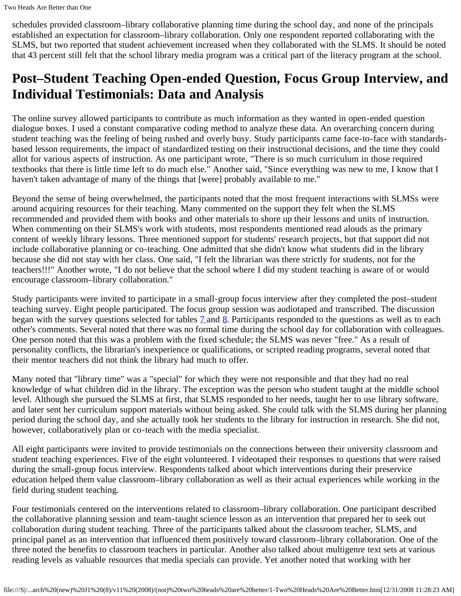schedules provided classroom–library collaborative planning time during the school day, and none of the principals established an expectation for classroom–library collaboration. Only one respondent reported collaborating with the SLMS, but two reported that student achievement increased when they collaborated with the SLMS. It should be noted that 43 percent still felt that the school library media program was a critical part of the literacy program at the school.

# **Post–Student Teaching Open-ended Question, Focus Group Interview, and Individual Testimonials: Data and Analysis**

The online survey allowed participants to contribute as much information as they wanted in open-ended question dialogue boxes. I used a constant comparative coding method to analyze these data. An overarching concern during student teaching was the feeling of being rushed and overly busy. Study participants came face-to-face with standardsbased lesson requirements, the impact of standardized testing on their instructional decisions, and the time they could allot for various aspects of instruction. As one participant wrote, "There is so much curriculum in those required textbooks that there is little time left to do much else." Another said, "Since everything was new to me, I know that I haven't taken advantage of many of the things that [were] probably available to me."

Beyond the sense of being overwhelmed, the participants noted that the most frequent interactions with SLMSs were around acquiring resources for their teaching. Many commented on the support they felt when the SLMS recommended and provided them with books and other materials to shore up their lessons and units of instruction. When commenting on their SLMS's work with students, most respondents mentioned read alouds as the primary content of weekly library lessons. Three mentioned support for students' research projects, but that support did not include collaborative planning or co-teaching. One admitted that she didn't know what students did in the library because she did not stay with her class. One said, "I felt the librarian was there strictly for students, not for the teachers!!!" Another wrote, "I do not believe that the school where I did my student teaching is aware of or would encourage classroom–library collaboration."

Study participants were invited to participate in a small-group focus interview after they completed the post–student teaching survey. Eight people participated. The focus group session was audiotaped and transcribed. The discussion began with the survey questions selected for tables **7** and **8**. Participants responded to the questions as well as to each other's comments. Several noted that there was no formal time during the school day for collaboration with colleagues. One person noted that this was a problem with the fixed schedule; the SLMS was never "free." As a result of personality conflicts, the librarian's inexperience or qualifications, or scripted reading programs, several noted that their mentor teachers did not think the library had much to offer.

Many noted that "library time" was a "special" for which they were not responsible and that they had no real knowledge of what children did in the library. The exception was the person who student taught at the middle school level. Although she pursued the SLMS at first, that SLMS responded to her needs, taught her to use library software, and later sent her curriculum support materials without being asked. She could talk with the SLMS during her planning period during the school day, and she actually took her students to the library for instruction in research. She did not, however, collaboratively plan or co-teach with the media specialist.

All eight participants were invited to provide testimonials on the connections between their university classroom and student teaching experiences. Five of the eight volunteered. I videotaped their responses to questions that were raised during the small-group focus interview. Respondents talked about which interventions during their preservice education helped them value classroom–library collaboration as well as their actual experiences while working in the field during student teaching.

Four testimonials centered on the interventions related to classroom–library collaboration. One participant described the collaborative planning session and team-taught science lesson as an intervention that prepared her to seek out collaboration during student teaching. Three of the participants talked about the classroom teacher, SLMS, and principal panel as an intervention that influenced them positively toward classroom–library collaboration. One of the three noted the benefits to classroom teachers in particular. Another also talked about multigenre text sets at various reading levels as valuable resources that media specials can provide. Yet another noted that working with her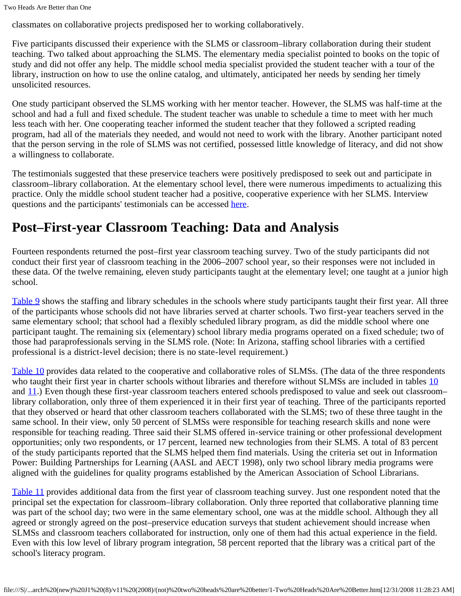Two Heads Are Better than One

classmates on collaborative projects predisposed her to working collaboratively.

Five participants discussed their experience with the SLMS or classroom–library collaboration during their student teaching. Two talked about approaching the SLMS. The elementary media specialist pointed to books on the topic of study and did not offer any help. The middle school media specialist provided the student teacher with a tour of the library, instruction on how to use the online catalog, and ultimately, anticipated her needs by sending her timely unsolicited resources.

One study participant observed the SLMS working with her mentor teacher. However, the SLMS was half-time at the school and had a full and fixed schedule. The student teacher was unable to schedule a time to meet with her much less teach with her. One cooperating teacher informed the student teacher that they followed a scripted reading program, had all of the materials they needed, and would not need to work with the library. Another participant noted that the person serving in the role of SLMS was not certified, possessed little knowledge of literacy, and did not show a willingness to collaborate.

The testimonials suggested that these preservice teachers were positively predisposed to seek out and participate in classroom–library collaboration. At the elementary school level, there were numerous impediments to actualizing this practice. Only the middle school student teacher had a positive, cooperative experience with her SLMS. Interview questions and the participants' testimonials can be accessed [here](http://storytrail.com/TwoHeads/Post_Student_Teaching_Testimonials.htm).

# **Post–First-year Classroom Teaching: Data and Analysis**

Fourteen respondents returned the post–first year classroom teaching survey. Two of the study participants did not conduct their first year of classroom teaching in the 2006–2007 school year, so their responses were not included in these data. Of the twelve remaining, eleven study participants taught at the elementary level; one taught at a junior high school.

[Table 9](file:///S|/Content%20-%20Completed%20Agreements/Content-Staging%20Review%20(NJL)%20(J)/Journal/HOLD--PROCESS%20NOW/12.31.08%20(121)/School%20Library%20Media%20Research%20(new)%20J1%20(8)/v11%20(2008)/(not)%20two%20heads%20are%20better/moreillon_tables.cfm#tab9) shows the staffing and library schedules in the schools where study participants taught their first year. All three of the participants whose schools did not have libraries served at charter schools. Two first-year teachers served in the same elementary school; that school had a flexibly scheduled library program, as did the middle school where one participant taught. The remaining six (elementary) school library media programs operated on a fixed schedule; two of those had paraprofessionals serving in the SLMS role. (Note: In Arizona, staffing school libraries with a certified professional is a district-level decision; there is no state-level requirement.)

[Table 10](file:///S|/Content%20-%20Completed%20Agreements/Content-Staging%20Review%20(NJL)%20(J)/Journal/HOLD--PROCESS%20NOW/12.31.08%20(121)/School%20Library%20Media%20Research%20(new)%20J1%20(8)/v11%20(2008)/(not)%20two%20heads%20are%20better/moreillon_tables.cfm#tab10) provides data related to the cooperative and collaborative roles of SLMSs. (The data of the three respondents who taught their first year in charter schools without libraries and therefore without SLMSs are included in tables [10](file:///S|/Content%20-%20Completed%20Agreements/Content-Staging%20Review%20(NJL)%20(J)/Journal/HOLD--PROCESS%20NOW/12.31.08%20(121)/School%20Library%20Media%20Research%20(new)%20J1%20(8)/v11%20(2008)/(not)%20two%20heads%20are%20better/moreillon_tables.cfm#tab10) and  $11$ .) Even though these first-year classroom teachers entered schools predisposed to value and seek out classroom– library collaboration, only three of them experienced it in their first year of teaching. Three of the participants reported that they observed or heard that other classroom teachers collaborated with the SLMS; two of these three taught in the same school. In their view, only 50 percent of SLMSs were responsible for teaching research skills and none were responsible for teaching reading. Three said their SLMS offered in-service training or other professional development opportunities; only two respondents, or 17 percent, learned new technologies from their SLMS. A total of 83 percent of the study participants reported that the SLMS helped them find materials. Using the criteria set out in Information Power: Building Partnerships for Learning (AASL and AECT 1998), only two school library media programs were aligned with the guidelines for quality programs established by the American Association of School Librarians.

[Table 11](file:///S|/Content%20-%20Completed%20Agreements/Content-Staging%20Review%20(NJL)%20(J)/Journal/HOLD--PROCESS%20NOW/12.31.08%20(121)/School%20Library%20Media%20Research%20(new)%20J1%20(8)/v11%20(2008)/(not)%20two%20heads%20are%20better/moreillon_tables.cfm#tab11) provides additional data from the first year of classroom teaching survey. Just one respondent noted that the principal set the expectation for classroom–library collaboration. Only three reported that collaborative planning time was part of the school day; two were in the same elementary school, one was at the middle school. Although they all agreed or strongly agreed on the post–preservice education surveys that student achievement should increase when SLMSs and classroom teachers collaborated for instruction, only one of them had this actual experience in the field. Even with this low level of library program integration, 58 percent reported that the library was a critical part of the school's literacy program.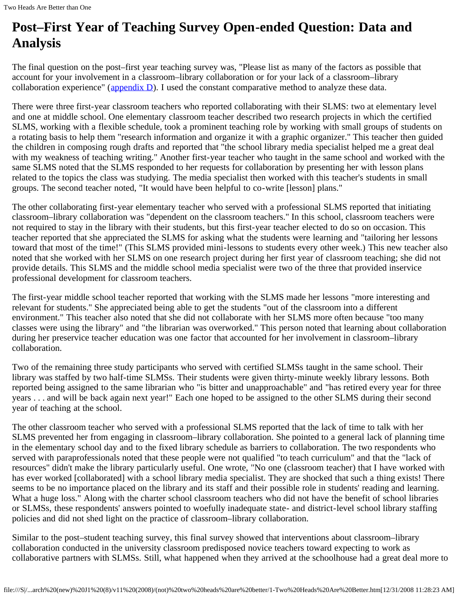# **Post–First Year of Teaching Survey Open-ended Question: Data and Analysis**

The final question on the post–first year teaching survey was, "Please list as many of the factors as possible that account for your involvement in a classroom–library collaboration or for your lack of a classroom–library collaboration experience" ( $\alpha$ ppendix  $\overline{D}$ ). I used the constant comparative method to analyze these data.

There were three first-year classroom teachers who reported collaborating with their SLMS: two at elementary level and one at middle school. One elementary classroom teacher described two research projects in which the certified SLMS, working with a flexible schedule, took a prominent teaching role by working with small groups of students on a rotating basis to help them "research information and organize it with a graphic organizer." This teacher then guided the children in composing rough drafts and reported that "the school library media specialist helped me a great deal with my weakness of teaching writing." Another first-year teacher who taught in the same school and worked with the same SLMS noted that the SLMS responded to her requests for collaboration by presenting her with lesson plans related to the topics the class was studying. The media specialist then worked with this teacher's students in small groups. The second teacher noted, "It would have been helpful to co-write [lesson] plans."

The other collaborating first-year elementary teacher who served with a professional SLMS reported that initiating classroom–library collaboration was "dependent on the classroom teachers." In this school, classroom teachers were not required to stay in the library with their students, but this first-year teacher elected to do so on occasion. This teacher reported that she appreciated the SLMS for asking what the students were learning and "tailoring her lessons toward that most of the time!" (This SLMS provided mini-lessons to students every other week.) This new teacher also noted that she worked with her SLMS on one research project during her first year of classroom teaching; she did not provide details. This SLMS and the middle school media specialist were two of the three that provided inservice professional development for classroom teachers.

The first-year middle school teacher reported that working with the SLMS made her lessons "more interesting and relevant for students." She appreciated being able to get the students "out of the classroom into a different environment." This teacher also noted that she did not collaborate with her SLMS more often because "too many classes were using the library" and "the librarian was overworked." This person noted that learning about collaboration during her preservice teacher education was one factor that accounted for her involvement in classroom–library collaboration.

Two of the remaining three study participants who served with certified SLMSs taught in the same school. Their library was staffed by two half-time SLMSs. Their students were given thirty-minute weekly library lessons. Both reported being assigned to the same librarian who "is bitter and unapproachable" and "has retired every year for three years . . . and will be back again next year!" Each one hoped to be assigned to the other SLMS during their second year of teaching at the school.

The other classroom teacher who served with a professional SLMS reported that the lack of time to talk with her SLMS prevented her from engaging in classroom–library collaboration. She pointed to a general lack of planning time in the elementary school day and to the fixed library schedule as barriers to collaboration. The two respondents who served with paraprofessionals noted that these people were not qualified "to teach curriculum" and that the "lack of resources" didn't make the library particularly useful. One wrote, "No one (classroom teacher) that I have worked with has ever worked [collaborated] with a school library media specialist. They are shocked that such a thing exists! There seems to be no importance placed on the library and its staff and their possible role in students' reading and learning. What a huge loss." Along with the charter school classroom teachers who did not have the benefit of school libraries or SLMSs, these respondents' answers pointed to woefully inadequate state- and district-level school library staffing policies and did not shed light on the practice of classroom–library collaboration.

Similar to the post–student teaching survey, this final survey showed that interventions about classroom–library collaboration conducted in the university classroom predisposed novice teachers toward expecting to work as collaborative partners with SLMSs. Still, what happened when they arrived at the schoolhouse had a great deal more to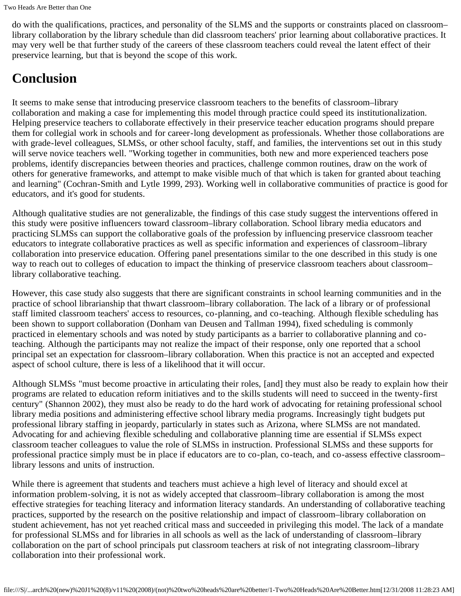do with the qualifications, practices, and personality of the SLMS and the supports or constraints placed on classroom– library collaboration by the library schedule than did classroom teachers' prior learning about collaborative practices. It may very well be that further study of the careers of these classroom teachers could reveal the latent effect of their preservice learning, but that is beyond the scope of this work.

# **Conclusion**

It seems to make sense that introducing preservice classroom teachers to the benefits of classroom–library collaboration and making a case for implementing this model through practice could speed its institutionalization. Helping preservice teachers to collaborate effectively in their preservice teacher education programs should prepare them for collegial work in schools and for career-long development as professionals. Whether those collaborations are with grade-level colleagues, SLMSs, or other school faculty, staff, and families, the interventions set out in this study will serve novice teachers well. "Working together in communities, both new and more experienced teachers pose problems, identify discrepancies between theories and practices, challenge common routines, draw on the work of others for generative frameworks, and attempt to make visible much of that which is taken for granted about teaching and learning" (Cochran-Smith and Lytle 1999, 293). Working well in collaborative communities of practice is good for educators, and it's good for students.

Although qualitative studies are not generalizable, the findings of this case study suggest the interventions offered in this study were positive influencers toward classroom–library collaboration. School library media educators and practicing SLMSs can support the collaborative goals of the profession by influencing preservice classroom teacher educators to integrate collaborative practices as well as specific information and experiences of classroom–library collaboration into preservice education. Offering panel presentations similar to the one described in this study is one way to reach out to colleges of education to impact the thinking of preservice classroom teachers about classroom– library collaborative teaching.

However, this case study also suggests that there are significant constraints in school learning communities and in the practice of school librarianship that thwart classroom–library collaboration. The lack of a library or of professional staff limited classroom teachers' access to resources, co-planning, and co-teaching. Although flexible scheduling has been shown to support collaboration (Donham van Deusen and Tallman 1994), fixed scheduling is commonly practiced in elementary schools and was noted by study participants as a barrier to collaborative planning and coteaching. Although the participants may not realize the impact of their response, only one reported that a school principal set an expectation for classroom–library collaboration. When this practice is not an accepted and expected aspect of school culture, there is less of a likelihood that it will occur.

Although SLMSs "must become proactive in articulating their roles, [and] they must also be ready to explain how their programs are related to education reform initiatives and to the skills students will need to succeed in the twenty-first century" (Shannon 2002), they must also be ready to do the hard work of advocating for retaining professional school library media positions and administering effective school library media programs. Increasingly tight budgets put professional library staffing in jeopardy, particularly in states such as Arizona, where SLMSs are not mandated. Advocating for and achieving flexible scheduling and collaborative planning time are essential if SLMSs expect classroom teacher colleagues to value the role of SLMSs in instruction. Professional SLMSs and these supports for professional practice simply must be in place if educators are to co-plan, co-teach, and co-assess effective classroom– library lessons and units of instruction.

While there is agreement that students and teachers must achieve a high level of literacy and should excel at information problem-solving, it is not as widely accepted that classroom–library collaboration is among the most effective strategies for teaching literacy and information literacy standards. An understanding of collaborative teaching practices, supported by the research on the positive relationship and impact of classroom–library collaboration on student achievement, has not yet reached critical mass and succeeded in privileging this model. The lack of a mandate for professional SLMSs and for libraries in all schools as well as the lack of understanding of classroom–library collaboration on the part of school principals put classroom teachers at risk of not integrating classroom–library collaboration into their professional work.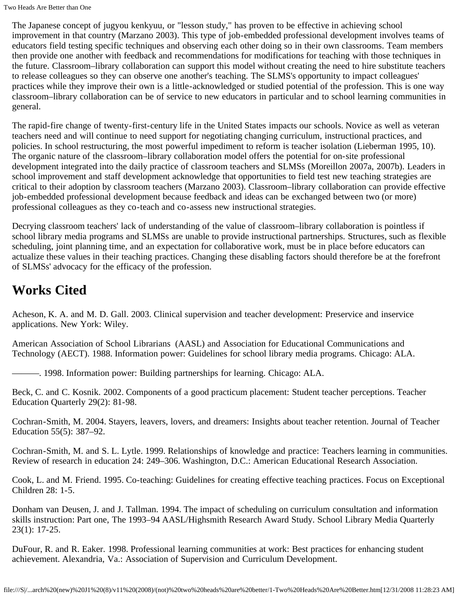The Japanese concept of jugyou kenkyuu, or "lesson study," has proven to be effective in achieving school improvement in that country (Marzano 2003). This type of job-embedded professional development involves teams of educators field testing specific techniques and observing each other doing so in their own classrooms. Team members then provide one another with feedback and recommendations for modifications for teaching with those techniques in the future. Classroom–library collaboration can support this model without creating the need to hire substitute teachers to release colleagues so they can observe one another's teaching. The SLMS's opportunity to impact colleagues' practices while they improve their own is a little-acknowledged or studied potential of the profession. This is one way classroom–library collaboration can be of service to new educators in particular and to school learning communities in general.

The rapid-fire change of twenty-first-century life in the United States impacts our schools. Novice as well as veteran teachers need and will continue to need support for negotiating changing curriculum, instructional practices, and policies. In school restructuring, the most powerful impediment to reform is teacher isolation (Lieberman 1995, 10). The organic nature of the classroom–library collaboration model offers the potential for on-site professional development integrated into the daily practice of classroom teachers and SLMSs (Moreillon 2007a, 2007b). Leaders in school improvement and staff development acknowledge that opportunities to field test new teaching strategies are critical to their adoption by classroom teachers (Marzano 2003). Classroom–library collaboration can provide effective job-embedded professional development because feedback and ideas can be exchanged between two (or more) professional colleagues as they co-teach and co-assess new instructional strategies.

Decrying classroom teachers' lack of understanding of the value of classroom–library collaboration is pointless if school library media programs and SLMSs are unable to provide instructional partnerships. Structures, such as flexible scheduling, joint planning time, and an expectation for collaborative work, must be in place before educators can actualize these values in their teaching practices. Changing these disabling factors should therefore be at the forefront of SLMSs' advocacy for the efficacy of the profession.

# **Works Cited**

Acheson, K. A. and M. D. Gall. 2003. Clinical supervision and teacher development: Preservice and inservice applications. New York: Wiley.

American Association of School Librarians (AASL) and Association for Educational Communications and Technology (AECT). 1988. Information power: Guidelines for school library media programs. Chicago: ALA.

———. 1998. Information power: Building partnerships for learning. Chicago: ALA.

Beck, C. and C. Kosnik. 2002. Components of a good practicum placement: Student teacher perceptions. Teacher Education Quarterly 29(2): 81-98.

Cochran-Smith, M. 2004. Stayers, leavers, lovers, and dreamers: Insights about teacher retention. Journal of Teacher Education 55(5): 387–92.

Cochran-Smith, M. and S. L. Lytle. 1999. Relationships of knowledge and practice: Teachers learning in communities. Review of research in education 24: 249–306. Washington, D.C.: American Educational Research Association.

Cook, L. and M. Friend. 1995. Co-teaching: Guidelines for creating effective teaching practices. Focus on Exceptional Children 28: 1-5.

Donham van Deusen, J. and J. Tallman. 1994. The impact of scheduling on curriculum consultation and information skills instruction: Part one, The 1993–94 AASL/Highsmith Research Award Study. School Library Media Quarterly 23(1): 17-25.

DuFour, R. and R. Eaker. 1998. Professional learning communities at work: Best practices for enhancing student achievement. Alexandria, Va.: Association of Supervision and Curriculum Development.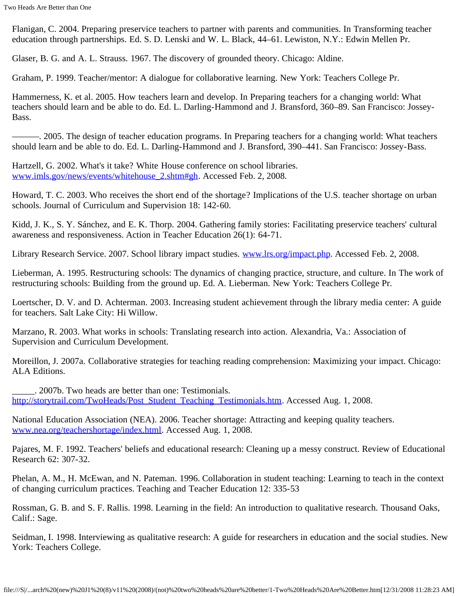Flanigan, C. 2004. Preparing preservice teachers to partner with parents and communities. In Transforming teacher education through partnerships. Ed. S. D. Lenski and W. L. Black, 44–61. Lewiston, N.Y.: Edwin Mellen Pr.

Glaser, B. G. and A. L. Strauss. 1967. The discovery of grounded theory. Chicago: Aldine.

Graham, P. 1999. Teacher/mentor: A dialogue for collaborative learning. New York: Teachers College Pr.

Hammerness, K. et al. 2005. How teachers learn and develop. In Preparing teachers for a changing world: What teachers should learn and be able to do. Ed. L. Darling-Hammond and J. Bransford, 360–89. San Francisco: Jossey-Bass.

———. 2005. The design of teacher education programs. In Preparing teachers for a changing world: What teachers should learn and be able to do. Ed. L. Darling-Hammond and J. Bransford, 390–441. San Francisco: Jossey-Bass.

Hartzell, G. 2002. What's it take? White House conference on school libraries. [www.imls.gov/news/events/whitehouse\\_2.shtm#gh.](http://www.imls.gov/news/events/whitehouse_2.shtm#gh) Accessed Feb. 2, 2008.

Howard, T. C. 2003. Who receives the short end of the shortage? Implications of the U.S. teacher shortage on urban schools. Journal of Curriculum and Supervision 18: 142-60.

Kidd, J. K., S. Y. Sánchez, and E. K. Thorp. 2004. Gathering family stories: Facilitating preservice teachers' cultural awareness and responsiveness. Action in Teacher Education 26(1): 64-71.

Library Research Service. 2007. School library impact studies. [www.lrs.org/impact.php](http://www.lrs.org/impact.php). Accessed Feb. 2, 2008.

Lieberman, A. 1995. Restructuring schools: The dynamics of changing practice, structure, and culture. In The work of restructuring schools: Building from the ground up. Ed. A. Lieberman. New York: Teachers College Pr.

Loertscher, D. V. and D. Achterman. 2003. Increasing student achievement through the library media center: A guide for teachers. Salt Lake City: Hi Willow.

Marzano, R. 2003. What works in schools: Translating research into action. Alexandria, Va.: Association of Supervision and Curriculum Development.

Moreillon, J. 2007a. Collaborative strategies for teaching reading comprehension: Maximizing your impact. Chicago: ALA Editions.

\_\_\_\_\_. 2007b. Two heads are better than one: Testimonials. [http://storytrail.com/TwoHeads/Post\\_Student\\_Teaching\\_Testimonials.htm.](http://storytrail.com/TwoHeads/Post_Student_Teaching_Testimonials.htm) Accessed Aug. 1, 2008.

National Education Association (NEA). 2006. Teacher shortage: Attracting and keeping quality teachers. [www.nea.org/teachershortage/index.html.](http://www.nea.org/teachershortage/index.html) Accessed Aug. 1, 2008.

Pajares, M. F. 1992. Teachers' beliefs and educational research: Cleaning up a messy construct. Review of Educational Research 62: 307-32.

Phelan, A. M., H. McEwan, and N. Pateman. 1996. Collaboration in student teaching: Learning to teach in the context of changing curriculum practices. Teaching and Teacher Education 12: 335-53

Rossman, G. B. and S. F. Rallis. 1998. Learning in the field: An introduction to qualitative research. Thousand Oaks, Calif.: Sage.

Seidman, I. 1998. Interviewing as qualitative research: A guide for researchers in education and the social studies. New York: Teachers College.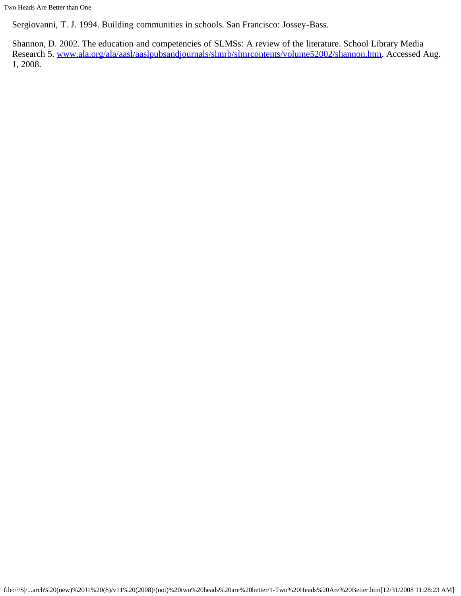Two Heads Are Better than One

Sergiovanni, T. J. 1994. Building communities in schools. San Francisco: Jossey-Bass.

Shannon, D. 2002. The education and competencies of SLMSs: A review of the literature. School Library Media Research 5. [www.ala.org/ala/aasl/aaslpubsandjournals/slmrb/slmrcontents/volume52002/shannon.htm](http://www.ala.org/ala/aasl/aaslpubsandjournals/slmrb/slmrcontents/volume52002/shannon.htm). Accessed Aug. 1, 2008.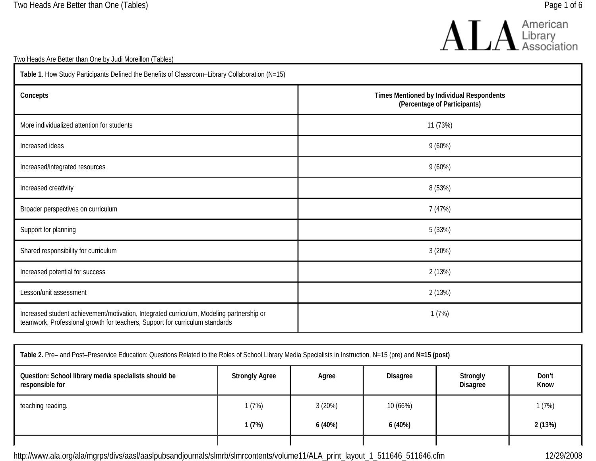

Two Heads Are Better than One by Judi Moreillon (Tables)

| Table 1. How Study Participants Defined the Benefits of Classroom-Library Collaboration (N=15)                                                                           |                                                                           |  |  |  |
|--------------------------------------------------------------------------------------------------------------------------------------------------------------------------|---------------------------------------------------------------------------|--|--|--|
| Concepts                                                                                                                                                                 | Times Mentioned by Individual Respondents<br>(Percentage of Participants) |  |  |  |
| More individualized attention for students                                                                                                                               | 11 (73%)                                                                  |  |  |  |
| Increased ideas                                                                                                                                                          | 9(60%)                                                                    |  |  |  |
| Increased/integrated resources                                                                                                                                           | 9(60%)                                                                    |  |  |  |
| Increased creativity                                                                                                                                                     | 8 (53%)                                                                   |  |  |  |
| Broader perspectives on curriculum                                                                                                                                       | 7 (47%)                                                                   |  |  |  |
| Support for planning                                                                                                                                                     | 5 (33%)                                                                   |  |  |  |
| Shared responsibility for curriculum                                                                                                                                     | 3 (20%)                                                                   |  |  |  |
| Increased potential for success                                                                                                                                          | 2 (13%)                                                                   |  |  |  |
| Lesson/unit assessment                                                                                                                                                   | 2 (13%)                                                                   |  |  |  |
| Increased student achievement/motivation, Integrated curriculum, Modeling partnership or<br>teamwork, Professional growth for teachers, Support for curriculum standards | 1(7%)                                                                     |  |  |  |

| Table 2. Pre- and Post-Preservice Education: Questions Related to the Roles of School Library Media Specialists in Instruction, N=15 (pre) and N=15 (post) |                                                                                  |        |          |  |        |
|------------------------------------------------------------------------------------------------------------------------------------------------------------|----------------------------------------------------------------------------------|--------|----------|--|--------|
| Question: School library media specialists should be<br>responsible for                                                                                    | Strongly<br><b>Strongly Agree</b><br><b>Disagree</b><br>Agree<br><b>Disagree</b> |        |          |  |        |
| teaching reading.                                                                                                                                          | 1(7%)                                                                            | 3(20%) | 10 (66%) |  | 1 (7%) |
|                                                                                                                                                            | 1 (7%)                                                                           | 6(40%) | 6(40%)   |  | 2(13%) |
|                                                                                                                                                            |                                                                                  |        |          |  |        |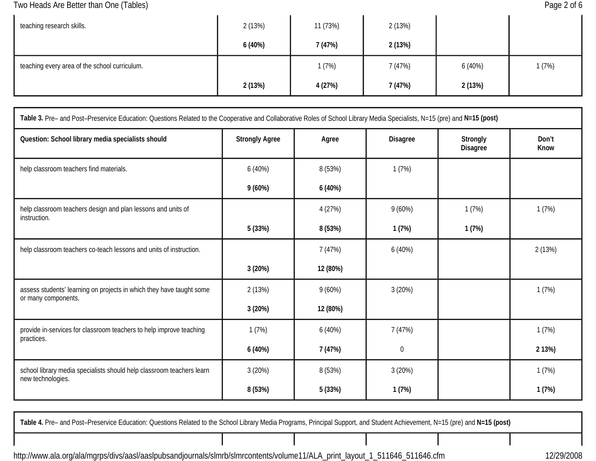Two Heads Are Better than One (Tables) **Page 2 of 6** and the set of the Page 2 of 6

| teaching research skills.                     | 2(13%) | 11 (73%) | 2(13%)  |        |       |
|-----------------------------------------------|--------|----------|---------|--------|-------|
|                                               | 6(40%) | 7 (47%)  | 2(13%)  |        |       |
| teaching every area of the school curriculum. |        | 1(7%)    | 7 (47%) | 6(40%) | 1(7%) |
|                                               | 2(13%) | 4 (27%)  | 7 (47%) | 2(13%) |       |

| Table 3. Pre- and Post-Preservice Education: Questions Related to the Cooperative and Collaborative Roles of School Library Media Specialists, N=15 (pre) and N=15 (post) |                       |           |                 |                             |               |  |
|---------------------------------------------------------------------------------------------------------------------------------------------------------------------------|-----------------------|-----------|-----------------|-----------------------------|---------------|--|
| Question: School library media specialists should                                                                                                                         | <b>Strongly Agree</b> | Agree     | <b>Disagree</b> | Strongly<br><b>Disagree</b> | Don't<br>Know |  |
| help classroom teachers find materials.                                                                                                                                   | 6(40%)                | 8 (53%)   | 1(7%)           |                             |               |  |
|                                                                                                                                                                           | 9(60%)                | 6(40%)    |                 |                             |               |  |
| help classroom teachers design and plan lessons and units of<br>instruction.                                                                                              |                       | 4 (27%)   | $9(60\%)$       | 1(7%)                       | 1(7%)         |  |
|                                                                                                                                                                           | 5(33%)                | 8 (53%)   | 1(7%)           | 1(7%)                       |               |  |
| help classroom teachers co-teach lessons and units of instruction.                                                                                                        |                       | 7 (47%)   | 6(40%)          |                             | 2(13%)        |  |
|                                                                                                                                                                           | 3(20%)                | 12 (80%)  |                 |                             |               |  |
| assess students' learning on projects in which they have taught some<br>or many components.                                                                               | 2(13%)                | $9(60\%)$ | 3(20%)          |                             | 1(7%)         |  |
|                                                                                                                                                                           | 3(20%)                | 12 (80%)  |                 |                             |               |  |
| provide in-services for classroom teachers to help improve teaching                                                                                                       | 1(7%)                 | 6(40%)    | 7(47%)          |                             | 1(7%)         |  |
| practices.                                                                                                                                                                | 6(40%)                | 7 (47%)   | 0               |                             | 2 13%)        |  |
| school library media specialists should help classroom teachers learn<br>new technologies.                                                                                | 3(20%)                | 8 (53%)   | 3(20%)          |                             | 1(7%)         |  |
|                                                                                                                                                                           | 8 (53%)               | 5(33%)    | 1(7%)           |                             | 1(7%)         |  |

**Table 4.** Pre– and Post–Preservice Education: Questions Related to the School Library Media Programs, Principal Support, and Student Achievement, N=15 (pre) and **N=15 (post)**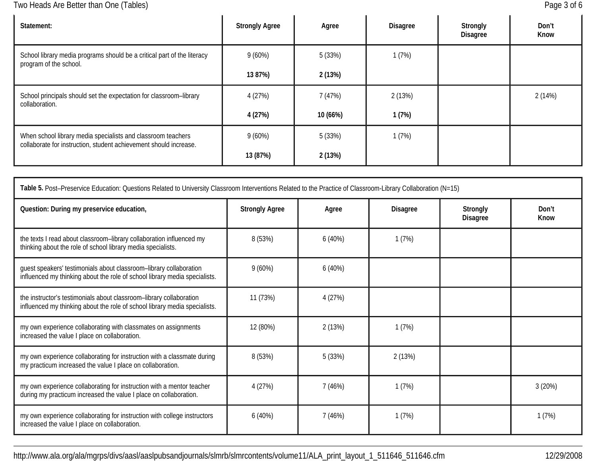Two Heads Are Better than One (Tables) **Page 3 of 6** and the set of the Page 3 of 6

| Statement:                                                                                                                        | <b>Strongly Agree</b> | Agree    | Disagree | Strongly<br><b>Disagree</b> | Don't<br>Know |
|-----------------------------------------------------------------------------------------------------------------------------------|-----------------------|----------|----------|-----------------------------|---------------|
| School library media programs should be a critical part of the literacy<br>program of the school.                                 | $9(60\%)$             | 5 (33%)  | 1(7%)    |                             |               |
|                                                                                                                                   | 13 87%)               | 2(13%)   |          |                             |               |
| School principals should set the expectation for classroom-library<br>collaboration.                                              | 4 (27%)               | 7(47%)   | 2(13%)   |                             | 2(14%)        |
|                                                                                                                                   | 4 (27%)               | 10 (66%) | 1(7%)    |                             |               |
| When school library media specialists and classroom teachers<br>collaborate for instruction, student achievement should increase. | $9(60\%)$             | 5 (33%)  | 1(7%)    |                             |               |
|                                                                                                                                   | 13 (87%)              | 2(13%)   |          |                             |               |

| Table 5. Post-Preservice Education: Questions Related to University Classroom Interventions Related to the Practice of Classroom-Library Collaboration (N=15) |                                                                           |         |               |  |        |  |
|---------------------------------------------------------------------------------------------------------------------------------------------------------------|---------------------------------------------------------------------------|---------|---------------|--|--------|--|
| Question: During my preservice education,                                                                                                                     | <b>Strongly Agree</b><br>Disagree<br>Strongly<br>Agree<br><b>Disagree</b> |         | Don't<br>Know |  |        |  |
| the texts I read about classroom-library collaboration influenced my<br>thinking about the role of school library media specialists.                          | 8 (53%)                                                                   | 6(40%)  | 1(7%)         |  |        |  |
| guest speakers' testimonials about classroom-library collaboration<br>influenced my thinking about the role of school library media specialists.              | $9(60\%)$                                                                 | 6(40%)  |               |  |        |  |
| the instructor's testimonials about classroom-library collaboration<br>influenced my thinking about the role of school library media specialists.             | 11 (73%)                                                                  | 4 (27%) |               |  |        |  |
| my own experience collaborating with classmates on assignments<br>increased the value I place on collaboration.                                               | 12 (80%)                                                                  | 2(13%)  | 1(7%)         |  |        |  |
| my own experience collaborating for instruction with a classmate during<br>my practicum increased the value I place on collaboration.                         | 8 (53%)                                                                   | 5 (33%) | 2(13%)        |  |        |  |
| my own experience collaborating for instruction with a mentor teacher<br>during my practicum increased the value I place on collaboration.                    | 4(27%)                                                                    | 7(46%)  | 1(7%)         |  | 3(20%) |  |
| my own experience collaborating for instruction with college instructors<br>increased the value I place on collaboration.                                     | 6(40%)                                                                    | 7 (46%) | 1(7%)         |  | 1(7%)  |  |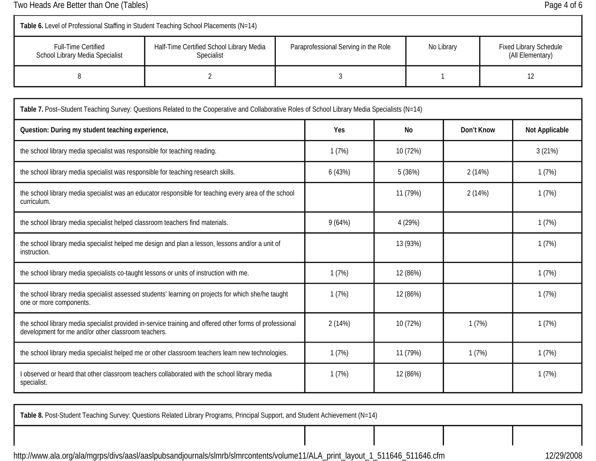Two Heads Are Better than One (Tables) and Tables are the control of the Page 4 of 6

one or more components.

| Table 6. Level of Professional Staffing in Student Teaching School Placements (N=14)    |                                                                                                                                                |  |        |                                                    |          |                                                   |  |        |
|-----------------------------------------------------------------------------------------|------------------------------------------------------------------------------------------------------------------------------------------------|--|--------|----------------------------------------------------|----------|---------------------------------------------------|--|--------|
| <b>Full-Time Certified</b><br>School Library Media Specialist                           | Half-Time Certified School Library Media<br>Specialist                                                                                         |  |        | Paraprofessional Serving in the Role<br>No Library |          | <b>Fixed Library Schedule</b><br>(All Elementary) |  |        |
| 8                                                                                       | 2                                                                                                                                              |  | 3      |                                                    |          |                                                   |  | 12     |
|                                                                                         | Table 7. Post-Student Teaching Survey: Questions Related to the Cooperative and Collaborative Roles of School Library Media Specialists (N=14) |  |        |                                                    |          |                                                   |  |        |
| Yes<br>Question: During my student teaching experience,<br><b>No</b><br>Don't Know      |                                                                                                                                                |  |        | Not Applicable                                     |          |                                                   |  |        |
| the school library media specialist was responsible for teaching reading.               |                                                                                                                                                |  | 1(7%)  |                                                    | 10 (72%) |                                                   |  | 3(21%) |
|                                                                                         | the school library media specialist was responsible for teaching research skills.                                                              |  | 6(43%) |                                                    | 5(36%)   | 2(14%)                                            |  | 1(7%)  |
| curriculum.                                                                             | the school library media specialist was an educator responsible for teaching every area of the school                                          |  |        |                                                    | 11 (79%) | 2(14%)                                            |  | 1(7%)  |
| the school library media specialist helped classroom teachers find materials.           |                                                                                                                                                |  | 9(64%) |                                                    | 4 (29%)  |                                                   |  | 1(7%)  |
| instruction.                                                                            | the school library media specialist helped me design and plan a lesson, lessons and/or a unit of                                               |  |        |                                                    | 13 (93%) |                                                   |  | 1(7%)  |
| the school library media specialists co-taught lessons or units of instruction with me. |                                                                                                                                                |  | 1(7%)  |                                                    | 12 (86%) |                                                   |  | 1(7%)  |
|                                                                                         | the school library media specialist assessed students' learning on projects for which she/he taught                                            |  | 1(7%)  |                                                    | 12 (86%) |                                                   |  | 1(7%)  |

development for me and/or other classroom teachers. the school library media specialist helped me or other classroom teachers learn new technologies. 1 (7%) 11 (7%) 11 (79%) 1 (7%) 1 (7%) I observed or heard that other classroom teachers collaborated with the school library media specialist. 1 (7%) 12 (86%) 1 (7%)

2 (14%) 10 (72%) 1 (7%) 1 (7%) 1 (7%)

**Table 8.** Post-Student Teaching Survey: Questions Related Library Programs, Principal Support, and Student Achievement (N=14)

the school library media specialist provided in-service training and offered other forms of professional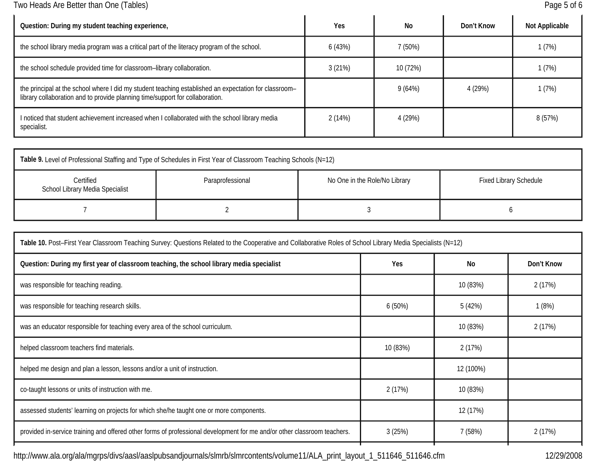Two Heads Are Better than One (Tables) **Page 5 of 6** Page 5 of 6

| Question: During my student teaching experience,                                                                                                                                       | Yes    | No       | Don't Know | <b>Not Applicable</b> |
|----------------------------------------------------------------------------------------------------------------------------------------------------------------------------------------|--------|----------|------------|-----------------------|
| the school library media program was a critical part of the literacy program of the school.                                                                                            | 6(43%) | 7 (50%)  |            | 1(7%)                 |
| the school schedule provided time for classroom-library collaboration.                                                                                                                 | 3(21%) | 10 (72%) |            | 1(7%)                 |
| the principal at the school where I did my student teaching established an expectation for classroom-<br>library collaboration and to provide planning time/support for collaboration. |        | 9 (64%)  | 4 (29%)    | 1(7%)                 |
| I noticed that student achievement increased when I collaborated with the school library media<br>specialist.                                                                          | 2(14%) | 4 (29%)  |            | 8 (57%)               |

| Table 9. Level of Professional Staffing and Type of Schedules in First Year of Classroom Teaching Schools (N=12) |                  |                               |                               |  |  |
|------------------------------------------------------------------------------------------------------------------|------------------|-------------------------------|-------------------------------|--|--|
| Certified<br>School Library Media Specialist                                                                     | Paraprofessional | No One in the Role/No Library | <b>Fixed Library Schedule</b> |  |  |
|                                                                                                                  |                  |                               |                               |  |  |

| Table 10. Post-First Year Classroom Teaching Survey: Questions Related to the Cooperative and Collaborative Roles of School Library Media Specialists (N=12) |          |           |            |  |  |
|--------------------------------------------------------------------------------------------------------------------------------------------------------------|----------|-----------|------------|--|--|
| Question: During my first year of classroom teaching, the school library media specialist                                                                    | Yes      | No        | Don't Know |  |  |
| was responsible for teaching reading.                                                                                                                        |          | 10 (83%)  | 2(17%)     |  |  |
| was responsible for teaching research skills.                                                                                                                | 6(50%)   | 5 (42%)   | 1(8%)      |  |  |
| was an educator responsible for teaching every area of the school curriculum.                                                                                |          | 10 (83%)  | 2(17%)     |  |  |
| helped classroom teachers find materials.                                                                                                                    | 10 (83%) | 2(17%)    |            |  |  |
| helped me design and plan a lesson, lessons and/or a unit of instruction.                                                                                    |          | 12 (100%) |            |  |  |
| co-taught lessons or units of instruction with me.                                                                                                           | 2(17%)   | 10 (83%)  |            |  |  |
| assessed students' learning on projects for which she/he taught one or more components.                                                                      |          | 12 (17%)  |            |  |  |
| provided in-service training and offered other forms of professional development for me and/or other classroom teachers.                                     | 3(25%)   | 7(58%)    | 2(17%)     |  |  |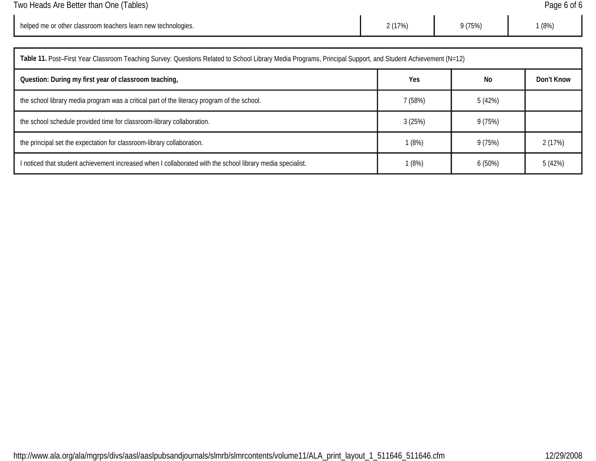| Two Heads Are Better than One (Tables) | Page 6 of 6 |
|----------------------------------------|-------------|
|                                        |             |

| helped me or other classroom teachers learn new technologies. | 2(17%) | $1 - 2$<br>175%, | (8% ) |
|---------------------------------------------------------------|--------|------------------|-------|
|---------------------------------------------------------------|--------|------------------|-------|

| Table 11. Post-First Year Classroom Teaching Survey: Questions Related to School Library Media Programs, Principal Support, and Student Achievement (N=12) |         |         |            |  |  |
|------------------------------------------------------------------------------------------------------------------------------------------------------------|---------|---------|------------|--|--|
| Question: During my first year of classroom teaching,                                                                                                      | Yes     | No      | Don't Know |  |  |
| the school library media program was a critical part of the literacy program of the school.                                                                | 7 (58%) | 5 (42%) |            |  |  |
| the school schedule provided time for classroom-library collaboration.                                                                                     | 3(25%)  | 9(75%)  |            |  |  |
| the principal set the expectation for classroom-library collaboration.                                                                                     | 1(8%)   | 9 (75%) | 2(17%)     |  |  |
| I noticed that student achievement increased when I collaborated with the school library media specialist.                                                 | 1 (8%)  | 6(50%)  | 5(42%)     |  |  |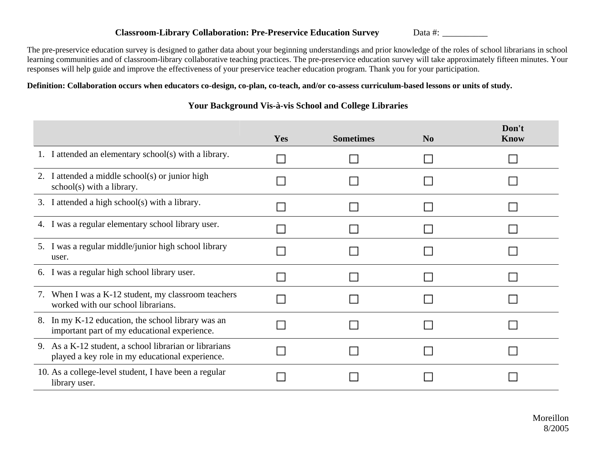#### **Classroom-Library Collaboration: Pre-Preservice Education Survey** Data #: \_\_\_\_\_\_\_\_\_\_

The pre-preservice education survey is designed to gather data about your beginning understandings and prior knowledge of the roles of school librarians in school learning communities and of classroom-library collaborative teaching practices. The pre-preservice education survey will take approximately fifteen minutes. Your responses will help guide and improve the effectiveness of your preservice teacher education program. Thank you for your participation.

### **Definition: Collaboration occurs when educators co-design, co-plan, co-teach, and/or co-assess curriculum-based lessons or units of study.**

### **Your Background Vis-à-vis School and College Libraries**

|                                                                                                           | Yes | <b>Sometimes</b> | N <sub>0</sub> | Don't<br><b>Know</b> |
|-----------------------------------------------------------------------------------------------------------|-----|------------------|----------------|----------------------|
| 1. I attended an elementary school(s) with a library.                                                     |     |                  |                |                      |
| 2. I attended a middle school(s) or junior high<br>school(s) with a library.                              |     |                  |                |                      |
| 3. I attended a high school(s) with a library.                                                            |     |                  |                |                      |
| 4. I was a regular elementary school library user.                                                        |     |                  |                |                      |
| 5. I was a regular middle/junior high school library<br>user.                                             |     |                  |                |                      |
| 6. I was a regular high school library user.                                                              |     |                  |                |                      |
| 7. When I was a K-12 student, my classroom teachers<br>worked with our school librarians.                 |     |                  |                |                      |
| 8. In my K-12 education, the school library was an<br>important part of my educational experience.        |     |                  |                |                      |
| 9. As a K-12 student, a school librarian or librarians<br>played a key role in my educational experience. |     |                  |                |                      |
| 10. As a college-level student, I have been a regular<br>library user.                                    |     |                  |                |                      |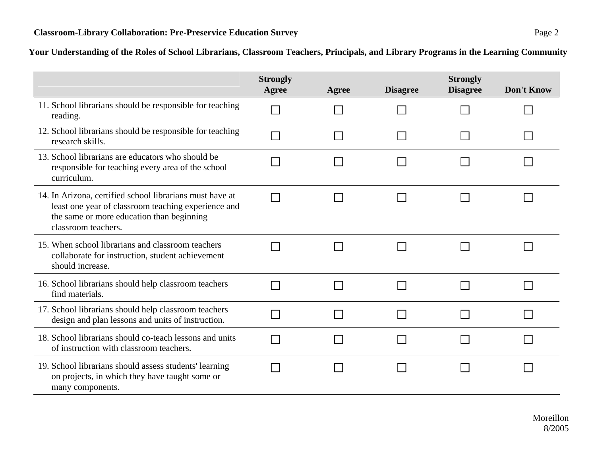|                                                                                                                                                                                     | <b>Strongly</b><br>Agree | Agree | <b>Disagree</b> | <b>Strongly</b><br><b>Disagree</b> | <b>Don't Know</b> |
|-------------------------------------------------------------------------------------------------------------------------------------------------------------------------------------|--------------------------|-------|-----------------|------------------------------------|-------------------|
| 11. School librarians should be responsible for teaching<br>reading.                                                                                                                |                          |       |                 |                                    |                   |
| 12. School librarians should be responsible for teaching<br>research skills.                                                                                                        |                          |       |                 |                                    |                   |
| 13. School librarians are educators who should be<br>responsible for teaching every area of the school<br>curriculum.                                                               |                          |       |                 |                                    |                   |
| 14. In Arizona, certified school librarians must have at<br>least one year of classroom teaching experience and<br>the same or more education than beginning<br>classroom teachers. |                          |       |                 |                                    |                   |
| 15. When school librarians and classroom teachers<br>collaborate for instruction, student achievement<br>should increase.                                                           |                          |       |                 |                                    |                   |
| 16. School librarians should help classroom teachers<br>find materials.                                                                                                             |                          |       |                 |                                    |                   |
| 17. School librarians should help classroom teachers<br>design and plan lessons and units of instruction.                                                                           |                          |       |                 |                                    |                   |
| 18. School librarians should co-teach lessons and units<br>of instruction with classroom teachers.                                                                                  |                          |       |                 |                                    |                   |
| 19. School librarians should assess students' learning<br>on projects, in which they have taught some or<br>many components.                                                        |                          |       |                 |                                    |                   |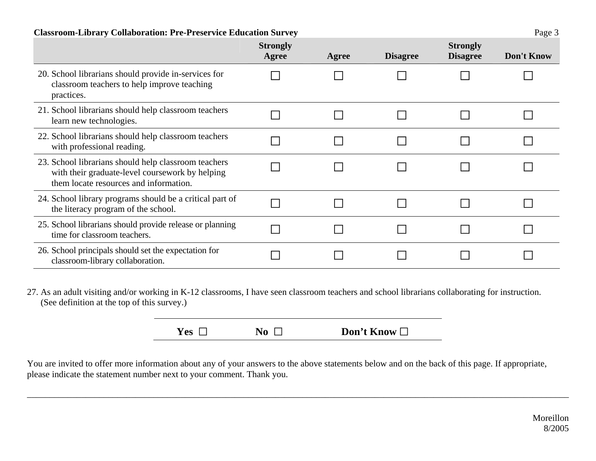### **Classroom-Library Collaboration: Pre-Preservice Education Survey** Page 3

|                                                                                                                                                   | <b>Strongly</b><br>Agree | Agree | <b>Disagree</b> | <b>Strongly</b><br><b>Disagree</b> | Don't Know |
|---------------------------------------------------------------------------------------------------------------------------------------------------|--------------------------|-------|-----------------|------------------------------------|------------|
| 20. School librarians should provide in-services for<br>classroom teachers to help improve teaching<br>practices.                                 |                          |       |                 |                                    |            |
| 21. School librarians should help classroom teachers<br>learn new technologies.                                                                   |                          |       |                 |                                    |            |
| 22. School librarians should help classroom teachers<br>with professional reading.                                                                |                          |       |                 |                                    |            |
| 23. School librarians should help classroom teachers<br>with their graduate-level coursework by helping<br>them locate resources and information. |                          |       |                 |                                    |            |
| 24. School library programs should be a critical part of<br>the literacy program of the school.                                                   |                          |       |                 |                                    |            |
| 25. School librarians should provide release or planning<br>time for classroom teachers.                                                          |                          |       |                 |                                    |            |
| 26. School principals should set the expectation for<br>classroom-library collaboration.                                                          |                          |       |                 |                                    |            |

27. As an adult visiting and/or working in K-12 classrooms, I have seen classroom teachers and school librarians collaborating for instruction. (See definition at the top of this survey.)

| Yes $\Box$ | No $\Box$ | Don't Know $\square$ |
|------------|-----------|----------------------|
|            |           |                      |

\_\_\_\_\_\_\_\_\_\_\_\_\_\_\_\_\_\_\_\_\_\_\_\_\_\_\_\_\_\_\_\_\_\_\_\_\_\_\_\_\_\_\_\_\_\_\_\_\_\_\_\_\_\_\_\_\_\_\_\_\_\_\_\_\_\_\_\_\_\_\_\_\_\_\_\_\_\_\_\_\_\_\_\_\_\_\_\_\_\_\_\_\_\_\_\_\_\_\_\_\_\_\_\_\_\_\_\_\_\_\_\_\_\_\_\_\_\_\_\_

You are invited to offer more information about any of your answers to the above statements below and on the back of this page. If appropriate, please indicate the statement number next to your comment. Thank you.

> Moreillon 8/2005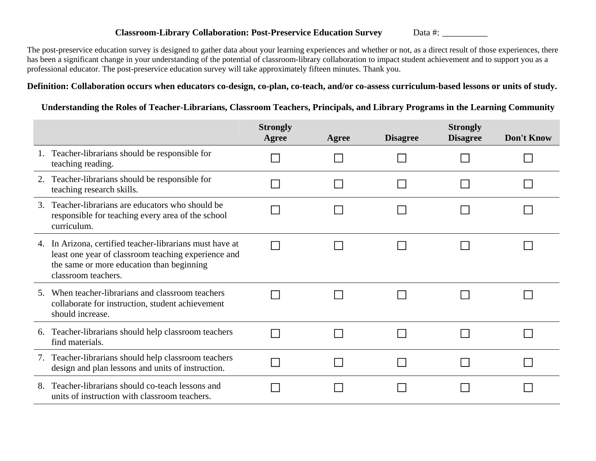#### **Classroom-Library Collaboration: Post-Preservice Education Survey** Data #: \_\_\_\_\_\_\_\_\_\_

The post-preservice education survey is designed to gather data about your learning experiences and whether or not, as a direct result of those experiences, there has been a significant change in your understanding of the potential of classroom-library collaboration to impact student achievement and to support you as a professional educator. The post-preservice education survey will take approximately fifteen minutes. Thank you.

### **Definition: Collaboration occurs when educators co-design, co-plan, co-teach, and/or co-assess curriculum-based lessons or units of study.**

### **Understanding the Roles of Teacher-Librarians, Classroom Teachers, Principals, and Library Programs in the Learning Community**

|               |                                                                                                                                                                                  | <b>Strongly</b><br>Agree | Agree | <b>Disagree</b> | <b>Strongly</b><br><b>Disagree</b> | Don't Know |
|---------------|----------------------------------------------------------------------------------------------------------------------------------------------------------------------------------|--------------------------|-------|-----------------|------------------------------------|------------|
|               | Teacher-librarians should be responsible for<br>teaching reading.                                                                                                                |                          |       |                 |                                    |            |
|               | Teacher-librarians should be responsible for<br>teaching research skills.                                                                                                        |                          |       |                 |                                    |            |
| $\mathcal{R}$ | Teacher-librarians are educators who should be<br>responsible for teaching every area of the school<br>curriculum.                                                               |                          |       |                 |                                    |            |
| 4.            | In Arizona, certified teacher-librarians must have at<br>least one year of classroom teaching experience and<br>the same or more education than beginning<br>classroom teachers. |                          |       |                 |                                    |            |
| 5.            | When teacher-librarians and classroom teachers<br>collaborate for instruction, student achievement<br>should increase.                                                           |                          |       |                 |                                    |            |
| 6.            | Teacher-librarians should help classroom teachers<br>find materials.                                                                                                             |                          |       |                 |                                    |            |
| 7.            | Teacher-librarians should help classroom teachers<br>design and plan lessons and units of instruction.                                                                           |                          |       |                 |                                    |            |
| 8.            | Teacher-librarians should co-teach lessons and<br>units of instruction with classroom teachers.                                                                                  |                          |       |                 |                                    |            |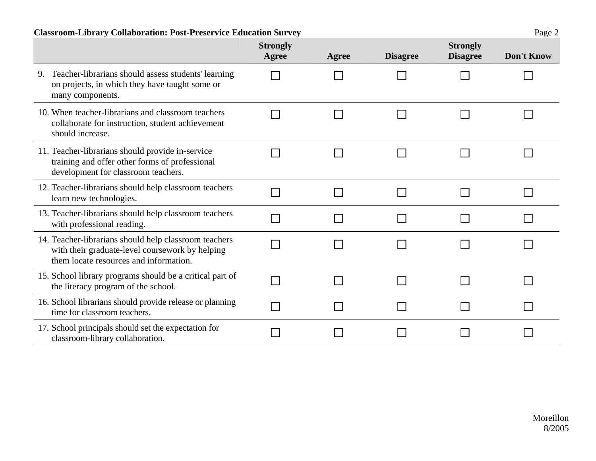### **Classroom-Library Collaboration: Post-Preservice Education Survey** Page 2

|                                                                                                                                                    | <b>Strongly</b><br>Agree | Agree | <b>Disagree</b> | <b>Strongly</b><br><b>Disagree</b> | Don't Know |
|----------------------------------------------------------------------------------------------------------------------------------------------------|--------------------------|-------|-----------------|------------------------------------|------------|
| 9. Teacher-librarians should assess students' learning<br>on projects, in which they have taught some or<br>many components.                       |                          |       |                 |                                    |            |
| 10. When teacher-librarians and classroom teachers<br>collaborate for instruction, student achievement<br>should increase.                         |                          |       |                 |                                    |            |
| 11. Teacher-librarians should provide in-service<br>training and offer other forms of professional<br>development for classroom teachers.          |                          |       |                 |                                    |            |
| 12. Teacher-librarians should help classroom teachers<br>learn new technologies.                                                                   |                          |       |                 |                                    |            |
| 13. Teacher-librarians should help classroom teachers<br>with professional reading.                                                                |                          |       |                 |                                    |            |
| 14. Teacher-librarians should help classroom teachers<br>with their graduate-level coursework by helping<br>them locate resources and information. |                          |       |                 |                                    |            |
| 15. School library programs should be a critical part of<br>the literacy program of the school.                                                    |                          |       |                 |                                    |            |
| 16. School librarians should provide release or planning<br>time for classroom teachers.                                                           |                          |       |                 |                                    |            |
| 17. School principals should set the expectation for<br>classroom-library collaboration.                                                           |                          |       |                 |                                    |            |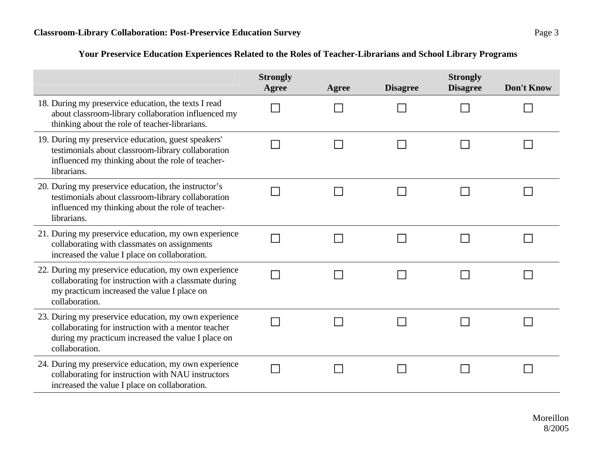### **Your Preservice Education Experiences Related to the Roles of Teacher-Librarians and School Library Programs**

|                                                                                                                                                                                      | <b>Strongly</b><br><b>Agree</b> | Agree | <b>Disagree</b> | <b>Strongly</b><br><b>Disagree</b> | <b>Don't Know</b> |
|--------------------------------------------------------------------------------------------------------------------------------------------------------------------------------------|---------------------------------|-------|-----------------|------------------------------------|-------------------|
| 18. During my preservice education, the texts I read<br>about classroom-library collaboration influenced my<br>thinking about the role of teacher-librarians.                        |                                 |       |                 |                                    |                   |
| 19. During my preservice education, guest speakers'<br>testimonials about classroom-library collaboration<br>influenced my thinking about the role of teacher-<br>librarians.        |                                 |       |                 |                                    |                   |
| 20. During my preservice education, the instructor's<br>testimonials about classroom-library collaboration<br>influenced my thinking about the role of teacher-<br>librarians.       |                                 |       |                 |                                    |                   |
| 21. During my preservice education, my own experience<br>collaborating with classmates on assignments<br>increased the value I place on collaboration.                               |                                 |       |                 |                                    |                   |
| 22. During my preservice education, my own experience<br>collaborating for instruction with a classmate during<br>my practicum increased the value I place on<br>collaboration.      |                                 |       |                 |                                    |                   |
| 23. During my preservice education, my own experience<br>collaborating for instruction with a mentor teacher<br>during my practicum increased the value I place on<br>collaboration. |                                 |       |                 |                                    |                   |
| 24. During my preservice education, my own experience<br>collaborating for instruction with NAU instructors<br>increased the value I place on collaboration.                         |                                 |       |                 |                                    |                   |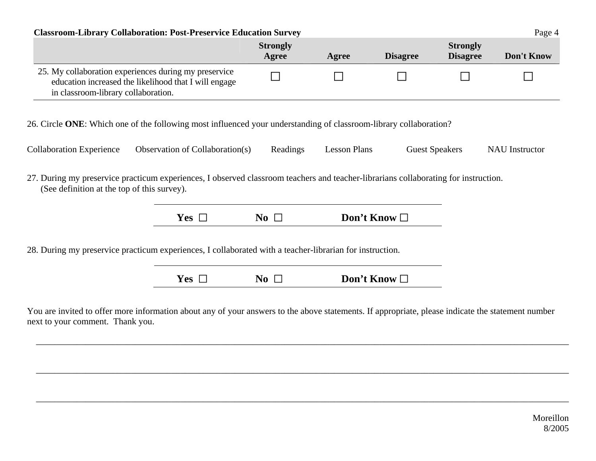| <b>Classroom-Library Collaboration: Post-Preservice Education Survey</b>                                                                                                                                                                                                           |                                 |                          |                      |                 |                                    | Page 4                |
|------------------------------------------------------------------------------------------------------------------------------------------------------------------------------------------------------------------------------------------------------------------------------------|---------------------------------|--------------------------|----------------------|-----------------|------------------------------------|-----------------------|
|                                                                                                                                                                                                                                                                                    |                                 | <b>Strongly</b><br>Agree | Agree                | <b>Disagree</b> | <b>Strongly</b><br><b>Disagree</b> | Don't Know            |
| 25. My collaboration experiences during my preservice<br>education increased the likelihood that I will engage<br>in classroom-library collaboration.                                                                                                                              |                                 |                          |                      |                 |                                    |                       |
| 26. Circle ONE: Which one of the following most influenced your understanding of classroom-library collaboration?                                                                                                                                                                  |                                 |                          |                      |                 |                                    |                       |
|                                                                                                                                                                                                                                                                                    |                                 |                          |                      |                 |                                    |                       |
|                                                                                                                                                                                                                                                                                    | Observation of Collaboration(s) | Readings                 | <b>Lesson Plans</b>  |                 | <b>Guest Speakers</b>              | <b>NAU</b> Instructor |
| (See definition at the top of this survey).                                                                                                                                                                                                                                        |                                 |                          |                      |                 |                                    |                       |
|                                                                                                                                                                                                                                                                                    | Yes $\Box$                      | No $\Box$                | Don't Know $\square$ |                 |                                    |                       |
| <b>Collaboration Experience</b><br>27. During my preservice practicum experiences, I observed classroom teachers and teacher-librarians collaborating for instruction.<br>28. During my preservice practicum experiences, I collaborated with a teacher-librarian for instruction. |                                 |                          |                      |                 |                                    |                       |

\_\_\_\_\_\_\_\_\_\_\_\_\_\_\_\_\_\_\_\_\_\_\_\_\_\_\_\_\_\_\_\_\_\_\_\_\_\_\_\_\_\_\_\_\_\_\_\_\_\_\_\_\_\_\_\_\_\_\_\_\_\_\_\_\_\_\_\_\_\_\_\_\_\_\_\_\_\_\_\_\_\_\_\_\_\_\_\_\_\_\_\_\_\_\_\_\_\_\_\_\_\_\_\_\_\_\_\_\_\_\_\_\_\_\_\_\_\_

next to your comment. Thank you.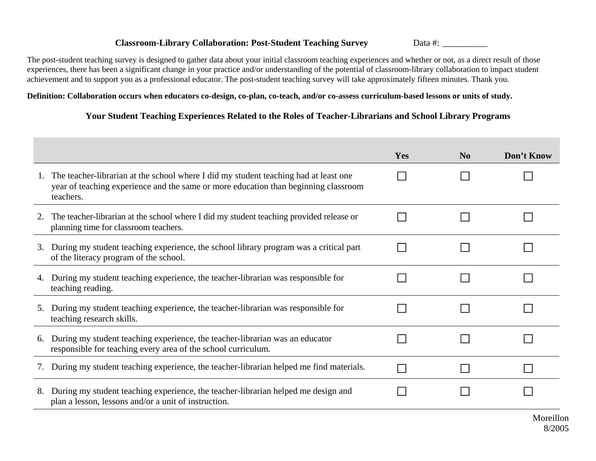### **Classroom-Library Collaboration: Post-Student Teaching Survey Data #:** Data #:

The post-student teaching survey is designed to gather data about your initial classroom teaching experiences and whether or not, as a direct result of those experiences, there has been a significant change in your practice and/or understanding of the potential of classroom-library collaboration to impact student achievement and to support you as a professional educator. The post-student teaching survey will take approximately fifteen minutes. Thank you.

### **Definition: Collaboration occurs when educators co-design, co-plan, co-teach, and/or co-assess curriculum-based lessons or units of study.**

### **Your Student Teaching Experiences Related to the Roles of Teacher-Librarians and School Library Programs**

|    |                                                                                                                                                                                          | Yes | $\bf No$ | Don't Know |
|----|------------------------------------------------------------------------------------------------------------------------------------------------------------------------------------------|-----|----------|------------|
|    | The teacher-librarian at the school where I did my student teaching had at least one<br>year of teaching experience and the same or more education than beginning classroom<br>teachers. |     |          |            |
| 2. | The teacher-librarian at the school where I did my student teaching provided release or<br>planning time for classroom teachers.                                                         |     |          |            |
| 3. | During my student teaching experience, the school library program was a critical part<br>of the literacy program of the school.                                                          |     |          |            |
| 4. | During my student teaching experience, the teacher-librarian was responsible for<br>teaching reading.                                                                                    |     |          |            |
| 5. | During my student teaching experience, the teacher-librarian was responsible for<br>teaching research skills.                                                                            |     |          |            |
| 6. | During my student teaching experience, the teacher-librarian was an educator<br>responsible for teaching every area of the school curriculum.                                            |     |          |            |
|    | During my student teaching experience, the teacher-librarian helped me find materials.                                                                                                   |     |          |            |
| 8. | During my student teaching experience, the teacher-librarian helped me design and<br>plan a lesson, lessons and/or a unit of instruction.                                                |     |          |            |
|    |                                                                                                                                                                                          |     |          | Moreillo   |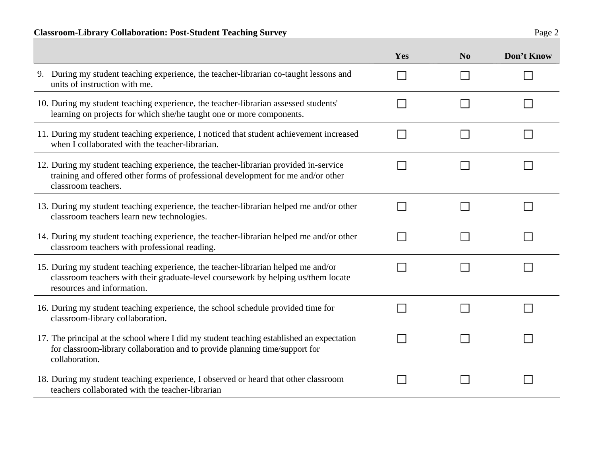|                                                                                                                                                                                                      | Yes | N <sub>o</sub> | Don't Know |
|------------------------------------------------------------------------------------------------------------------------------------------------------------------------------------------------------|-----|----------------|------------|
| 9. During my student teaching experience, the teacher-librarian co-taught lessons and<br>units of instruction with me.                                                                               |     |                |            |
| 10. During my student teaching experience, the teacher-librarian assessed students'<br>learning on projects for which she/he taught one or more components.                                          |     |                |            |
| 11. During my student teaching experience, I noticed that student achievement increased<br>when I collaborated with the teacher-librarian.                                                           |     |                |            |
| 12. During my student teaching experience, the teacher-librarian provided in-service<br>training and offered other forms of professional development for me and/or other<br>classroom teachers.      |     |                |            |
| 13. During my student teaching experience, the teacher-librarian helped me and/or other<br>classroom teachers learn new technologies.                                                                |     |                |            |
| 14. During my student teaching experience, the teacher-librarian helped me and/or other<br>classroom teachers with professional reading.                                                             |     |                |            |
| 15. During my student teaching experience, the teacher-librarian helped me and/or<br>classroom teachers with their graduate-level coursework by helping us/them locate<br>resources and information. |     |                |            |
| 16. During my student teaching experience, the school schedule provided time for<br>classroom-library collaboration.                                                                                 |     |                |            |
| 17. The principal at the school where I did my student teaching established an expectation<br>for classroom-library collaboration and to provide planning time/support for<br>collaboration.         |     |                |            |
| 18. During my student teaching experience, I observed or heard that other classroom<br>teachers collaborated with the teacher-librarian                                                              |     |                |            |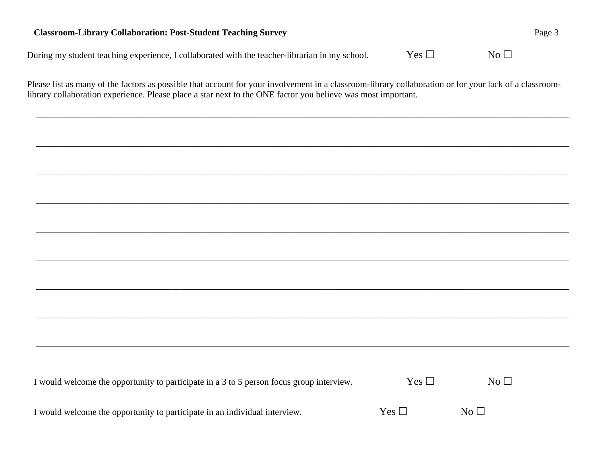### **Classroom-Library Collaboration: Post-Student Teaching Survey Page 3 Page 3 Page 3 Page 3 Page 3 Page 3 Page 3 Page 3 Page 3 Page 3 Page 3 Page 3 Page 3 Page 3 Page 3 Page 3 Page 3 Page 3 Page 3 Page 3 Page 3 Page 3 Page**

During my student teaching experience, I collaborated with the teacher-librarian in my school. Yes  $\Box$  $\Box$  No  $\Box$ 

Please list as many of the factors as possible that account for your involvement in a classroom-library collaboration or for your lack of a classroomlibrary collaboration experience. Please place a star next to the ONE factor you believe was most important.

\_\_\_\_\_\_\_\_\_\_\_\_\_\_\_\_\_\_\_\_\_\_\_\_\_\_\_\_\_\_\_\_\_\_\_\_\_\_\_\_\_\_\_\_\_\_\_\_\_\_\_\_\_\_\_\_\_\_\_\_\_\_\_\_\_\_\_\_\_\_\_\_\_\_\_\_\_\_\_\_\_\_\_\_\_\_\_\_\_\_\_\_\_\_\_\_\_\_\_\_\_\_\_\_\_\_\_\_\_\_\_\_\_\_\_\_\_\_

\_\_\_\_\_\_\_\_\_\_\_\_\_\_\_\_\_\_\_\_\_\_\_\_\_\_\_\_\_\_\_\_\_\_\_\_\_\_\_\_\_\_\_\_\_\_\_\_\_\_\_\_\_\_\_\_\_\_\_\_\_\_\_\_\_\_\_\_\_\_\_\_\_\_\_\_\_\_\_\_\_\_\_\_\_\_\_\_\_\_\_\_\_\_\_\_\_\_\_\_\_\_\_\_\_\_\_\_\_\_\_\_\_\_\_\_\_\_

\_\_\_\_\_\_\_\_\_\_\_\_\_\_\_\_\_\_\_\_\_\_\_\_\_\_\_\_\_\_\_\_\_\_\_\_\_\_\_\_\_\_\_\_\_\_\_\_\_\_\_\_\_\_\_\_\_\_\_\_\_\_\_\_\_\_\_\_\_\_\_\_\_\_\_\_\_\_\_\_\_\_\_\_\_\_\_\_\_\_\_\_\_\_\_\_\_\_\_\_\_\_\_\_\_\_\_\_\_\_\_\_\_\_\_\_\_\_

\_\_\_\_\_\_\_\_\_\_\_\_\_\_\_\_\_\_\_\_\_\_\_\_\_\_\_\_\_\_\_\_\_\_\_\_\_\_\_\_\_\_\_\_\_\_\_\_\_\_\_\_\_\_\_\_\_\_\_\_\_\_\_\_\_\_\_\_\_\_\_\_\_\_\_\_\_\_\_\_\_\_\_\_\_\_\_\_\_\_\_\_\_\_\_\_\_\_\_\_\_\_\_\_\_\_\_\_\_\_\_\_\_\_\_\_\_\_

\_\_\_\_\_\_\_\_\_\_\_\_\_\_\_\_\_\_\_\_\_\_\_\_\_\_\_\_\_\_\_\_\_\_\_\_\_\_\_\_\_\_\_\_\_\_\_\_\_\_\_\_\_\_\_\_\_\_\_\_\_\_\_\_\_\_\_\_\_\_\_\_\_\_\_\_\_\_\_\_\_\_\_\_\_\_\_\_\_\_\_\_\_\_\_\_\_\_\_\_\_\_\_\_\_\_\_\_\_\_\_\_\_\_\_\_\_\_

| I would welcome the opportunity to participate in a 3 to 5 person focus group interview. | Yes $\Box$ | $\rm No~\Box$   |
|------------------------------------------------------------------------------------------|------------|-----------------|
| I would welcome the opportunity to participate in an individual interview.               | Yes $\Box$ | No <sub>1</sub> |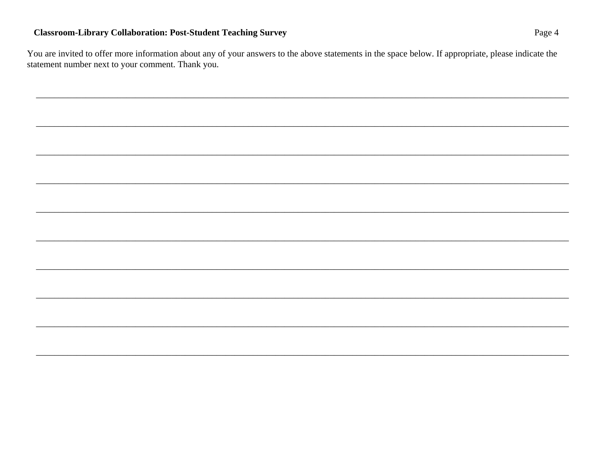### **Classroom-Library Collaboration: Post-Student Teaching Survey**

You are invited to offer more information about any of your answers to the above statements in the space below. If appropriate, please indicate the statement number next to your comment. Thank you.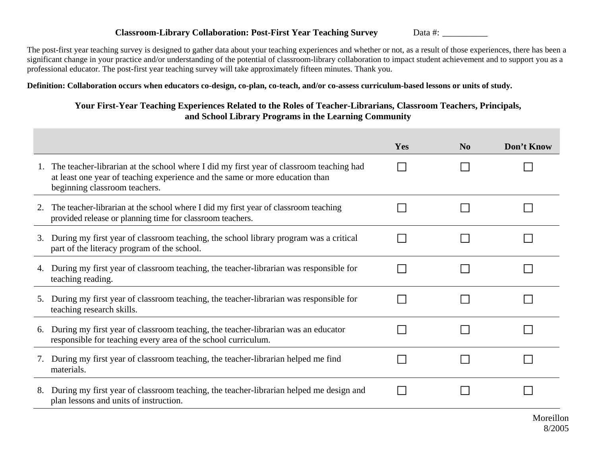### **Classroom-Library Collaboration: Post-First Year Teaching Survey** Data #:

The post-first year teaching survey is designed to gather data about your teaching experiences and whether or not, as a result of those experiences, there has been a significant change in your practice and/or understanding of the potential of classroom-library collaboration to impact student achievement and to support you as a professional educator. The post-first year teaching survey will take approximately fifteen minutes. Thank you.

**Definition: Collaboration occurs when educators co-design, co-plan, co-teach, and/or co-assess curriculum-based lessons or units of study.** 

### **Your First-Year Teaching Experiences Related to the Roles of Teacher-Librarians, Classroom Teachers, Principals, and School Library Programs in the Learning Community**

|                                                                                                                                                                                                          | Yes | N <sub>0</sub> | Don't Know |
|----------------------------------------------------------------------------------------------------------------------------------------------------------------------------------------------------------|-----|----------------|------------|
| The teacher-librarian at the school where I did my first year of classroom teaching had<br>at least one year of teaching experience and the same or more education than<br>beginning classroom teachers. |     |                |            |
| The teacher-librarian at the school where I did my first year of classroom teaching<br>2.<br>provided release or planning time for classroom teachers.                                                   |     |                |            |
| During my first year of classroom teaching, the school library program was a critical<br>3.<br>part of the literacy program of the school.                                                               |     |                |            |
| During my first year of classroom teaching, the teacher-librarian was responsible for<br>4.<br>teaching reading.                                                                                         |     |                |            |
| During my first year of classroom teaching, the teacher-librarian was responsible for<br>5.<br>teaching research skills.                                                                                 |     |                |            |
| During my first year of classroom teaching, the teacher-librarian was an educator<br>6.<br>responsible for teaching every area of the school curriculum.                                                 |     |                |            |
| During my first year of classroom teaching, the teacher-librarian helped me find<br>materials.                                                                                                           |     |                |            |
| During my first year of classroom teaching, the teacher-librarian helped me design and<br>8.<br>plan lessons and units of instruction.                                                                   |     |                |            |
|                                                                                                                                                                                                          |     |                | Moreillon  |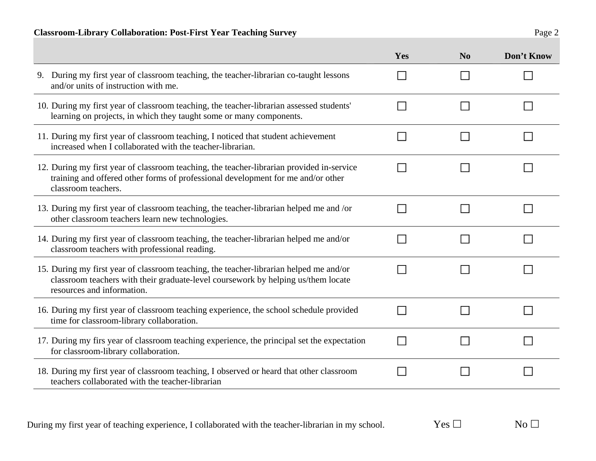### **Classroom-Library Collaboration: Post-First Year Teaching Survey** Page 2

| 17. During my firs year of classroom teaching experience, the principal set the expectation<br>for classroom-library collaboration.          |            |    |
|----------------------------------------------------------------------------------------------------------------------------------------------|------------|----|
| 18. During my first year of classroom teaching, I observed or heard that other classroom<br>teachers collaborated with the teacher-librarian |            |    |
| During my first year of teaching experience, I collaborated with the teacher-librarian in my school.                                         | Yes $\Box$ | No |

|                                                                                                                                                                                                           | Yes                      | N <sub>o</sub> | Don't Know |
|-----------------------------------------------------------------------------------------------------------------------------------------------------------------------------------------------------------|--------------------------|----------------|------------|
| 9. During my first year of classroom teaching, the teacher-librarian co-taught lessons<br>and/or units of instruction with me.                                                                            | $\sim$                   |                |            |
| 10. During my first year of classroom teaching, the teacher-librarian assessed students'<br>learning on projects, in which they taught some or many components.                                           |                          |                |            |
| 11. During my first year of classroom teaching, I noticed that student achievement<br>increased when I collaborated with the teacher-librarian.                                                           |                          |                |            |
| 12. During my first year of classroom teaching, the teacher-librarian provided in-service<br>training and offered other forms of professional development for me and/or other<br>classroom teachers.      |                          |                |            |
| 13. During my first year of classroom teaching, the teacher-librarian helped me and /or<br>other classroom teachers learn new technologies.                                                               |                          |                |            |
| 14. During my first year of classroom teaching, the teacher-librarian helped me and/or<br>classroom teachers with professional reading.                                                                   |                          |                |            |
| 15. During my first year of classroom teaching, the teacher-librarian helped me and/or<br>classroom teachers with their graduate-level coursework by helping us/them locate<br>resources and information. |                          |                |            |
| 16. During my first year of classroom teaching experience, the school schedule provided<br>time for classroom-library collaboration.                                                                      | $\mathbb{R}^n$           |                |            |
| 17. During my firs year of classroom teaching experience, the principal set the expectation<br>for classroom-library collaboration.                                                                       | $\overline{\phantom{a}}$ |                |            |
| 18. During my first year of classroom teaching, I observed or heard that other classroom<br>1 111 111 111                                                                                                 |                          |                |            |

 $\mathcal{L}_{\mathcal{A}}$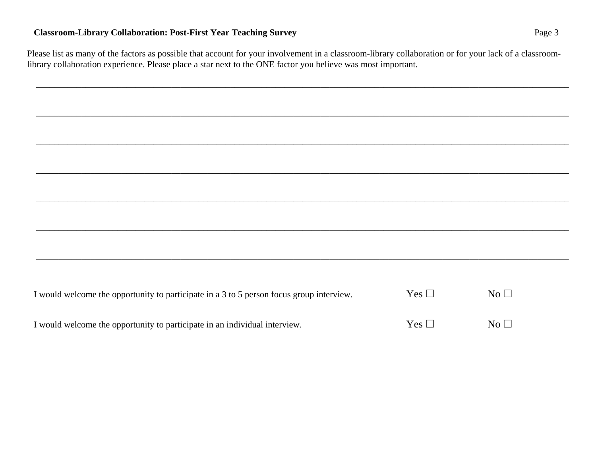### **Classroom-Library Collaboration: Post-First Year Teaching Survey**  Page 3

Please list as many of the factors as possible that account for your involvement in a classroom-library collaboration or for your lack of a classroomlibrary collaboration experience. Please place a star next to the ONE factor you believe was most important.

\_\_\_\_\_\_\_\_\_\_\_\_\_\_\_\_\_\_\_\_\_\_\_\_\_\_\_\_\_\_\_\_\_\_\_\_\_\_\_\_\_\_\_\_\_\_\_\_\_\_\_\_\_\_\_\_\_\_\_\_\_\_\_\_\_\_\_\_\_\_\_\_\_\_\_\_\_\_\_\_\_\_\_\_\_\_\_\_\_\_\_\_\_\_\_\_\_\_\_\_\_\_\_\_\_\_\_\_\_\_\_\_\_\_\_\_\_\_

\_\_\_\_\_\_\_\_\_\_\_\_\_\_\_\_\_\_\_\_\_\_\_\_\_\_\_\_\_\_\_\_\_\_\_\_\_\_\_\_\_\_\_\_\_\_\_\_\_\_\_\_\_\_\_\_\_\_\_\_\_\_\_\_\_\_\_\_\_\_\_\_\_\_\_\_\_\_\_\_\_\_\_\_\_\_\_\_\_\_\_\_\_\_\_\_\_\_\_\_\_\_\_\_\_\_\_\_\_\_\_\_\_\_\_\_\_\_

\_\_\_\_\_\_\_\_\_\_\_\_\_\_\_\_\_\_\_\_\_\_\_\_\_\_\_\_\_\_\_\_\_\_\_\_\_\_\_\_\_\_\_\_\_\_\_\_\_\_\_\_\_\_\_\_\_\_\_\_\_\_\_\_\_\_\_\_\_\_\_\_\_\_\_\_\_\_\_\_\_\_\_\_\_\_\_\_\_\_\_\_\_\_\_\_\_\_\_\_\_\_\_\_\_\_\_\_\_\_\_\_\_\_\_\_\_\_

\_\_\_\_\_\_\_\_\_\_\_\_\_\_\_\_\_\_\_\_\_\_\_\_\_\_\_\_\_\_\_\_\_\_\_\_\_\_\_\_\_\_\_\_\_\_\_\_\_\_\_\_\_\_\_\_\_\_\_\_\_\_\_\_\_\_\_\_\_\_\_\_\_\_\_\_\_\_\_\_\_\_\_\_\_\_\_\_\_\_\_\_\_\_\_\_\_\_\_\_\_\_\_\_\_\_\_\_\_\_\_\_\_\_\_\_\_\_

\_\_\_\_\_\_\_\_\_\_\_\_\_\_\_\_\_\_\_\_\_\_\_\_\_\_\_\_\_\_\_\_\_\_\_\_\_\_\_\_\_\_\_\_\_\_\_\_\_\_\_\_\_\_\_\_\_\_\_\_\_\_\_\_\_\_\_\_\_\_\_\_\_\_\_\_\_\_\_\_\_\_\_\_\_\_\_\_\_\_\_\_\_\_\_\_\_\_\_\_\_\_\_\_\_\_\_\_\_\_\_\_\_\_\_\_\_\_

| I would welcome the opportunity to participate in a 3 to 5 person focus group interview. | $Yes \Box$ | $N_O$ $\Box$            |
|------------------------------------------------------------------------------------------|------------|-------------------------|
| I would welcome the opportunity to participate in an individual interview.               | Yes $\Box$ | $\overline{N_0}$ $\Box$ |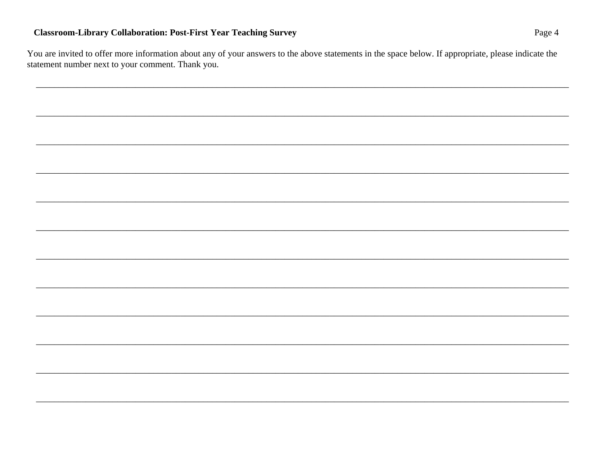### **Classroom-Library Collaboration: Post-First Year Teaching Survey**

You are invited to offer more information about any of your answers to the above statements in the space below. If appropriate, please indicate the statement number next to your comment. Thank you.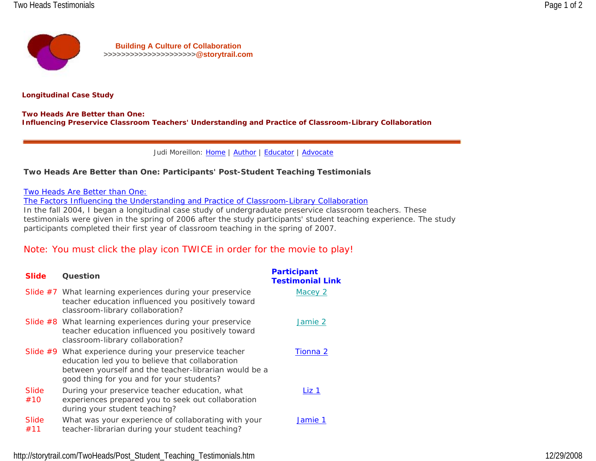

**Longitudinal Case Study**

**Two Heads Are Better than One: Influencing Preservice Classroom Teachers' Understanding and Practice of Classroom-Library Collaboration**

Judi Moreillon: Home | Author | Educator | Advocate

### **Two Heads Are Better than One: Participants' Post-Student Teaching Testimonials**

Two Heads Are Better than One:

The Factors Influencing the Understanding and Practice of Classroom-Library Collaboration

In the fall 2004, I began a longitudinal case study of undergraduate preservice classroom teachers. These testimonials were given in the spring of 2006 after the study participants' student teaching experience. The study participants completed their first year of classroom teaching in the spring of 2007.

### Note: You must click the play icon TWICE in order for the movie to play!

| <b>Slide</b> | <b>Question</b>                                                                                                                                                                                                  | <b>Participant</b><br><b>Testimonial Link</b> |
|--------------|------------------------------------------------------------------------------------------------------------------------------------------------------------------------------------------------------------------|-----------------------------------------------|
|              | Slide $#7$ What learning experiences during your preservice<br>teacher education influenced you positively toward<br>classroom-library collaboration?                                                            | Macey 2                                       |
|              | Slide $#8$ What learning experiences during your preservice<br>teacher education influenced you positively toward<br>classroom-library collaboration?                                                            | Jamie 2                                       |
|              | Slide #9 What experience during your preservice teacher<br>education led you to believe that collaboration<br>between yourself and the teacher-librarian would be a<br>good thing for you and for your students? | Tionna 2                                      |
| Slide<br>#10 | During your preservice teacher education, what<br>experiences prepared you to seek out collaboration<br>during your student teaching?                                                                            | Liz 1                                         |
| Slide<br>#11 | What was your experience of collaborating with your<br>teacher-librarian during your student teaching?                                                                                                           | Jamie 1                                       |